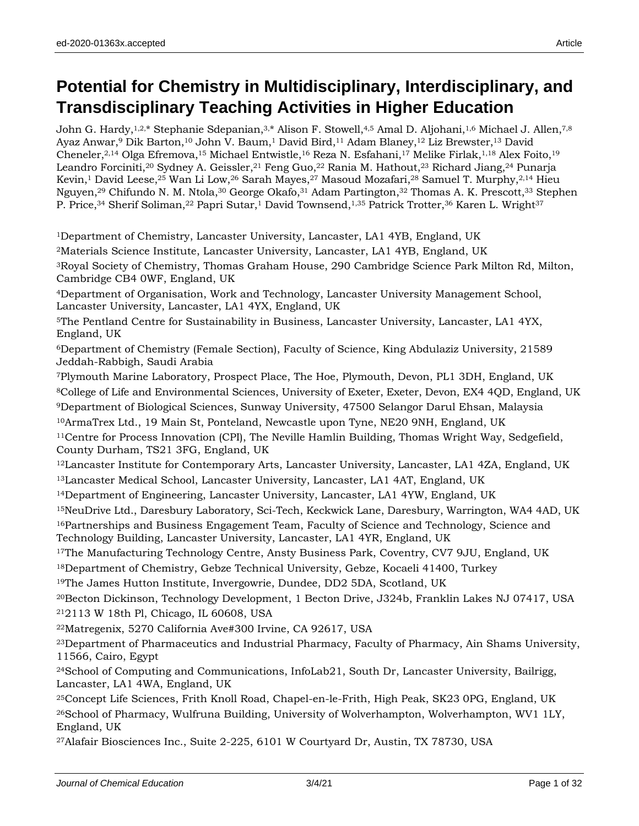# **Potential for Chemistry in Multidisciplinary, Interdisciplinary, and Transdisciplinary Teaching Activities in Higher Education**

John G. Hardy, 1,2,\* Stephanie Sdepanian, 3,\* Alison F. Stowell, 4,5 Amal D. Aljohani, 1,6 Michael J. Allen, 7,8 Ayaz Anwar,<sup>9</sup> Dik Barton, <sup>10</sup> John V. Baum, <sup>1</sup> David Bird, <sup>11</sup> Adam Blaney, <sup>12</sup> Liz Brewster, <sup>13</sup> David Cheneler,<sup>2,14</sup> Olga Efremova,<sup>15</sup> Michael Entwistle,<sup>16</sup> Reza N. Esfahani,<sup>17</sup> Melike Firlak,<sup>1,18</sup> Alex Foito,<sup>19</sup> Leandro Forciniti,<sup>20</sup> Sydney A. Geissler,<sup>21</sup> Feng Guo,<sup>22</sup> Rania M. Hathout,<sup>23</sup> Richard Jiang,<sup>24</sup> Punarja Kevin, 1David Leese, 25 Wan Li Low, 26 Sarah Mayes, 27 Masoud Mozafari, 28 Samuel T. Murphy, 2, 14 Hieu Nguyen,<sup>29</sup> Chifundo N. M. Ntola,<sup>30</sup> George Okafo,<sup>31</sup> Adam Partington,<sup>32</sup> Thomas A. K. Prescott,<sup>33</sup> Stephen P. Price,<sup>34</sup> Sherif Soliman,<sup>22</sup> Papri Sutar,<sup>1</sup> David Townsend,<sup>1,35</sup> Patrick Trotter,<sup>36</sup> Karen L. Wright<sup>37</sup>

<sup>1</sup>Department of Chemistry, Lancaster University, Lancaster, LA1 4YB, England, UK

<sup>2</sup>Materials Science Institute, Lancaster University, Lancaster, LA1 4YB, England, UK

<sup>3</sup>Royal Society of Chemistry, Thomas Graham House, 290 Cambridge Science Park Milton Rd, Milton, Cambridge CB4 0WF, England, UK

<sup>4</sup>Department of Organisation, Work and Technology, Lancaster University Management School, Lancaster University, Lancaster, LA1 4YX, England, UK

<sup>5</sup>The Pentland Centre for Sustainability in Business, Lancaster University, Lancaster, LA1 4YX, England, UK

<sup>6</sup>Department of Chemistry (Female Section), Faculty of Science, King Abdulaziz University, 21589 Jeddah-Rabbigh, Saudi Arabia

<sup>7</sup>Plymouth Marine Laboratory, Prospect Place, The Hoe, Plymouth, Devon, PL1 3DH, England, UK

<sup>8</sup>College of Life and Environmental Sciences, University of Exeter, Exeter, Devon, EX4 4QD, England, UK

<sup>9</sup>Department of Biological Sciences, Sunway University, 47500 Selangor Darul Ehsan, Malaysia

<sup>10</sup>ArmaTrex Ltd., 19 Main St, Ponteland, Newcastle upon Tyne, NE20 9NH, England, UK

<sup>11</sup>Centre for Process Innovation (CPI), The Neville Hamlin Building, Thomas Wright Way, Sedgefield, County Durham, TS21 3FG, England, UK

<sup>12</sup>Lancaster Institute for Contemporary Arts, Lancaster University, Lancaster, LA1 4ZA, England, UK <sup>13</sup>Lancaster Medical School, Lancaster University, Lancaster, LA1 4AT, England, UK

<sup>14</sup>Department of Engineering, Lancaster University, Lancaster, LA1 4YW, England, UK

<sup>15</sup>NeuDrive Ltd., Daresbury Laboratory, Sci-Tech, Keckwick Lane, Daresbury, Warrington, WA4 4AD, UK <sup>16</sup>Partnerships and Business Engagement Team, Faculty of Science and Technology, Science and Technology Building, Lancaster University, Lancaster, LA1 4YR, England, UK

<sup>17</sup>The Manufacturing Technology Centre, Ansty Business Park, Coventry, CV7 9JU, England, UK

<sup>18</sup>Department of Chemistry, Gebze Technical University, Gebze, Kocaeli 41400, Turkey

<sup>19</sup>The James Hutton Institute, Invergowrie, Dundee, DD2 5DA, Scotland, UK

<sup>20</sup>Becton Dickinson, Technology Development, 1 Becton Drive, J324b, Franklin Lakes NJ 07417, USA <sup>21</sup>2113 W 18th Pl, Chicago, IL 60608, USA

<sup>22</sup>Matregenix, 5270 California Ave#300 Irvine, CA 92617, USA

<sup>23</sup>Department of Pharmaceutics and Industrial Pharmacy, Faculty of Pharmacy, Ain Shams University, 11566, Cairo, Egypt

<sup>24</sup>School of Computing and Communications, InfoLab21, South Dr, Lancaster University, Bailrigg, Lancaster, LA1 4WA, England, UK

<sup>25</sup>Concept Life Sciences, Frith Knoll Road, Chapel-en-le-Frith, High Peak, SK23 0PG, England, UK <sup>26</sup>School of Pharmacy, Wulfruna Building, University of Wolverhampton, Wolverhampton, WV1 1LY, England, UK

27Alafair Biosciences Inc., Suite 2-225, 6101 W Courtyard Dr, Austin, TX 78730, USA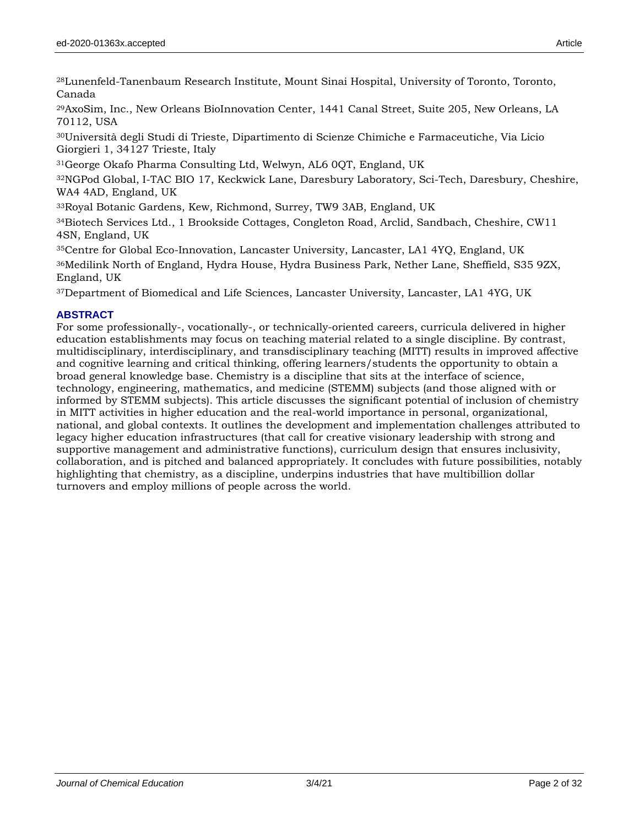<sup>28</sup>Lunenfeld-Tanenbaum Research Institute, Mount Sinai Hospital, University of Toronto, Toronto, Canada

<sup>29</sup>AxoSim, Inc., New Orleans BioInnovation Center, 1441 Canal Street, Suite 205, New Orleans, LA 70112, USA

<sup>30</sup>Università degli Studi di Trieste, Dipartimento di Scienze Chimiche e Farmaceutiche, Via Licio Giorgieri 1, 34127 Trieste, Italy

<sup>31</sup>George Okafo Pharma Consulting Ltd, Welwyn, AL6 0QT, England, UK

<sup>32</sup>NGPod Global, I-TAC BIO 17, Keckwick Lane, Daresbury Laboratory, Sci-Tech, Daresbury, Cheshire, WA4 4AD, England, UK

<sup>33</sup>Royal Botanic Gardens, Kew, Richmond, Surrey, TW9 3AB, England, UK

<sup>34</sup>Biotech Services Ltd., 1 Brookside Cottages, Congleton Road, Arclid, Sandbach, Cheshire, CW11 4SN, England, UK

<sup>35</sup>Centre for Global Eco-Innovation, Lancaster University, Lancaster, LA1 4YQ, England, UK

<sup>36</sup>Medilink North of England, Hydra House, Hydra Business Park, Nether Lane, Sheffield, S35 9ZX, England, UK

<sup>37</sup>Department of Biomedical and Life Sciences, Lancaster University, Lancaster, LA1 4YG, UK

### **ABSTRACT**

For some professionally-, vocationally-, or technically-oriented careers, curricula delivered in higher education establishments may focus on teaching material related to a single discipline. By contrast, multidisciplinary, interdisciplinary, and transdisciplinary teaching (MITT) results in improved affective and cognitive learning and critical thinking, offering learners/students the opportunity to obtain a broad general knowledge base. Chemistry is a discipline that sits at the interface of science, technology, engineering, mathematics, and medicine (STEMM) subjects (and those aligned with or informed by STEMM subjects). This article discusses the significant potential of inclusion of chemistry in MITT activities in higher education and the real-world importance in personal, organizational, national, and global contexts. It outlines the development and implementation challenges attributed to legacy higher education infrastructures (that call for creative visionary leadership with strong and supportive management and administrative functions), curriculum design that ensures inclusivity, collaboration, and is pitched and balanced appropriately. It concludes with future possibilities, notably highlighting that chemistry, as a discipline, underpins industries that have multibillion dollar turnovers and employ millions of people across the world.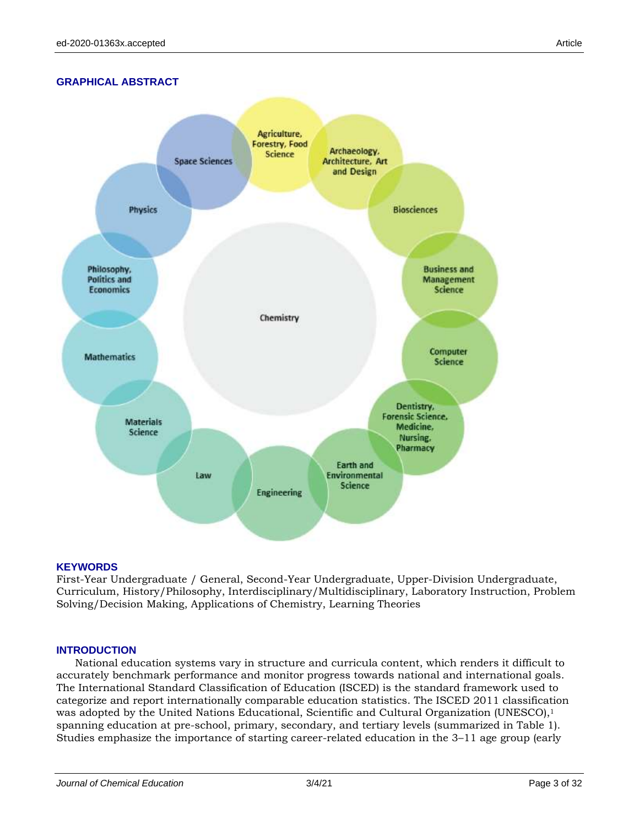# **GRAPHICAL ABSTRACT**



#### **KEYWORDS**

First-Year Undergraduate / General, Second-Year Undergraduate, Upper-Division Undergraduate, Curriculum, History/Philosophy, Interdisciplinary/Multidisciplinary, Laboratory Instruction, Problem Solving/Decision Making, Applications of Chemistry, Learning Theories

#### **INTRODUCTION**

National education systems vary in structure and curricula content, which renders it difficult to accurately benchmark performance and monitor progress towards national and international goals. The International Standard Classification of Education (ISCED) is the standard framework used to categorize and report internationally comparable education statistics. The ISCED 2011 classification was adopted by the United Nations Educational, Scientific and Cultural Organization (UNESCO),<sup>1</sup> spanning education at pre-school, primary, secondary, and tertiary levels (summarized in Table 1). Studies emphasize the importance of starting career-related education in the 3–11 age group (early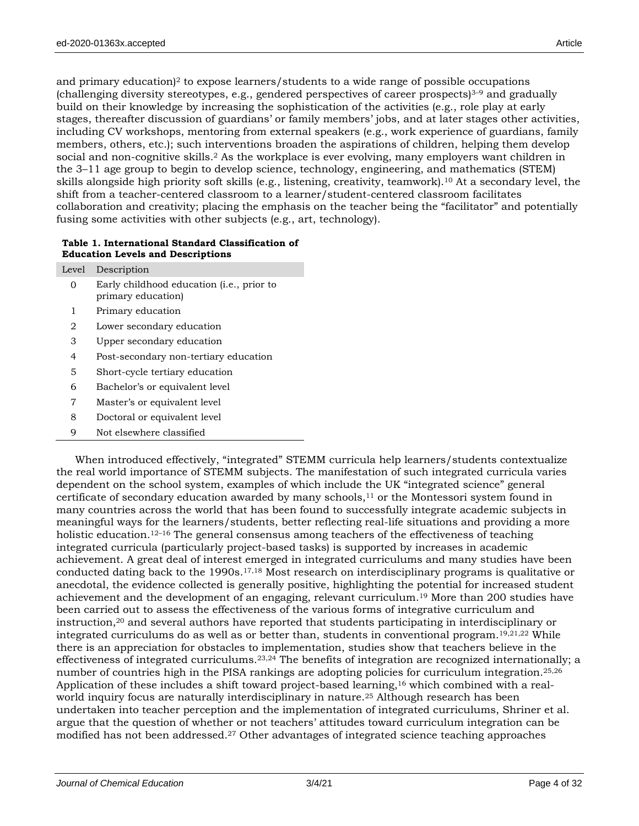and primary education)<sup>2</sup> to expose learners/students to a wide range of possible occupations (challenging diversity stereotypes, e.g., gendered perspectives of career prospects) $3-9$  and gradually build on their knowledge by increasing the sophistication of the activities (e.g., role play at early stages, thereafter discussion of guardians' or family members' jobs, and at later stages other activities, including CV workshops, mentoring from external speakers (e.g., work experience of guardians, family members, others, etc.); such interventions broaden the aspirations of children, helping them develop social and non-cognitive skills.<sup>2</sup> As the workplace is ever evolving, many employers want children in the 3–11 age group to begin to develop science, technology, engineering, and mathematics (STEM) skills alongside high priority soft skills (e.g., listening, creativity, teamwork).<sup>10</sup> At a secondary level, the shift from a teacher-centered classroom to a learner/student-centered classroom facilitates collaboration and creativity; placing the emphasis on the teacher being the "facilitator" and potentially fusing some activities with other subjects (e.g., art, technology).

#### **Table 1. International Standard Classification of Education Levels and Descriptions**

|       | $\sim$ $\sim$ $\sim$ $\sim$ $\sim$                              |
|-------|-----------------------------------------------------------------|
| Level | Description                                                     |
| 0     | Early childhood education (i.e., prior to<br>primary education) |
| 1     | Primary education                                               |
| 2     | Lower secondary education                                       |
| 3     | Upper secondary education                                       |
| 4     | Post-secondary non-tertiary education                           |
| 5     | Short-cycle tertiary education                                  |
| 6     | Bachelor's or equivalent level                                  |
| 7     | Master's or equivalent level                                    |
| 8     | Doctoral or equivalent level                                    |
| 9     | Not elsewhere classified                                        |
|       |                                                                 |

When introduced effectively, "integrated" STEMM curricula help learners/students contextualize the real world importance of STEMM subjects. The manifestation of such integrated curricula varies dependent on the school system, examples of which include the UK "integrated science" general certificate of secondary education awarded by many schools, $11$  or the Montessori system found in many countries across the world that has been found to successfully integrate academic subjects in meaningful ways for the learners/students, better reflecting real-life situations and providing a more holistic education.<sup>12–16</sup> The general consensus among teachers of the effectiveness of teaching integrated curricula (particularly project-based tasks) is supported by increases in academic achievement. A great deal of interest emerged in integrated curriculums and many studies have been conducted dating back to the 1990s.17,18 Most research on interdisciplinary programs is qualitative or anecdotal, the evidence collected is generally positive, highlighting the potential for increased student achievement and the development of an engaging, relevant curriculum.<sup>19</sup> More than 200 studies have been carried out to assess the effectiveness of the various forms of integrative curriculum and instruction,<sup>20</sup> and several authors have reported that students participating in interdisciplinary or integrated curriculums do as well as or better than, students in conventional program.19,21,22 While there is an appreciation for obstacles to implementation, studies show that teachers believe in the effectiveness of integrated curriculums.23,24 The benefits of integration are recognized internationally; a number of countries high in the PISA rankings are adopting policies for curriculum integration.<sup>25,26</sup> Application of these includes a shift toward project-based learning,<sup>16</sup> which combined with a realworld inquiry focus are naturally interdisciplinary in nature.<sup>25</sup> Although research has been undertaken into teacher perception and the implementation of integrated curriculums, Shriner et al. argue that the question of whether or not teachers' attitudes toward curriculum integration can be modified has not been addressed.<sup>27</sup> Other advantages of integrated science teaching approaches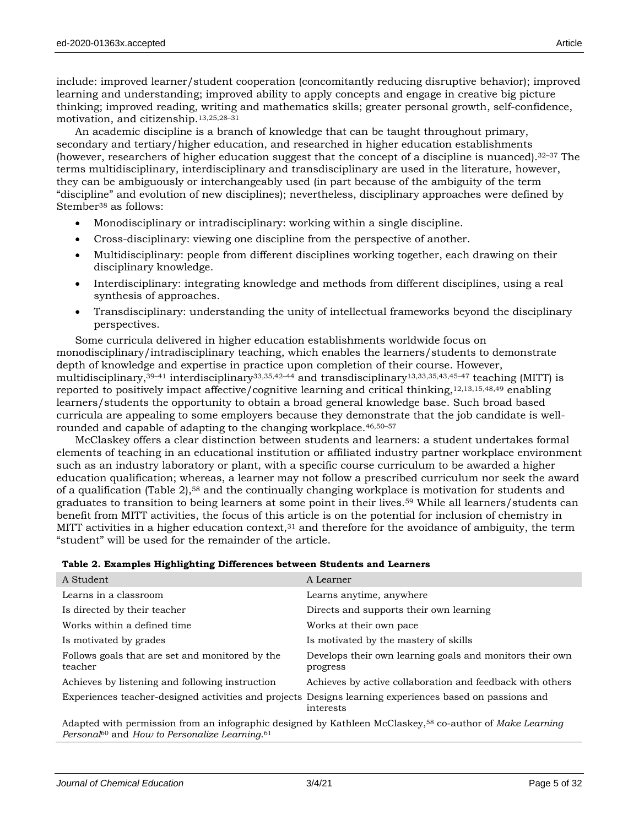include: improved learner/student cooperation (concomitantly reducing disruptive behavior); improved learning and understanding; improved ability to apply concepts and engage in creative big picture thinking; improved reading, writing and mathematics skills; greater personal growth, self-confidence, motivation, and citizenship.13,25,28–<sup>31</sup>

An academic discipline is a branch of knowledge that can be taught throughout primary, secondary and tertiary/higher education, and researched in higher education establishments (however, researchers of higher education suggest that the concept of a discipline is nuanced).<sup>32–37</sup> The terms multidisciplinary, interdisciplinary and transdisciplinary are used in the literature, however, they can be ambiguously or interchangeably used (in part because of the ambiguity of the term "discipline" and evolution of new disciplines); nevertheless, disciplinary approaches were defined by Stember<sup>38</sup> as follows:

- Monodisciplinary or intradisciplinary: working within a single discipline.
- Cross-disciplinary: viewing one discipline from the perspective of another.
- Multidisciplinary: people from different disciplines working together, each drawing on their disciplinary knowledge.
- Interdisciplinary: integrating knowledge and methods from different disciplines, using a real synthesis of approaches.
- Transdisciplinary: understanding the unity of intellectual frameworks beyond the disciplinary perspectives.

Some curricula delivered in higher education establishments worldwide focus on monodisciplinary/intradisciplinary teaching, which enables the learners/students to demonstrate depth of knowledge and expertise in practice upon completion of their course. However, multidisciplinary,<sup>39–41</sup> interdisciplinary<sup>33,35,42–44</sup> and transdisciplinary<sup>13,33,35,43,45–47</sup> teaching (MITT) is reported to positively impact affective/cognitive learning and critical thinking,12,13,15,48,49 enabling learners/students the opportunity to obtain a broad general knowledge base. Such broad based curricula are appealing to some employers because they demonstrate that the job candidate is wellrounded and capable of adapting to the changing workplace.46,50–<sup>57</sup>

McClaskey offers a clear distinction between students and learners: a student undertakes formal elements of teaching in an educational institution or affiliated industry partner workplace environment such as an industry laboratory or plant, with a specific course curriculum to be awarded a higher education qualification; whereas, a learner may not follow a prescribed curriculum nor seek the award of a qualification (Table 2),<sup>58</sup> and the continually changing workplace is motivation for students and graduates to transition to being learners at some point in their lives.<sup>59</sup> While all learners/students can benefit from MITT activities, the focus of this article is on the potential for inclusion of chemistry in MITT activities in a higher education context, $31$  and therefore for the avoidance of ambiguity, the term "student" will be used for the remainder of the article.

|  |  | Table 2. Examples Highlighting Differences between Students and Learners |
|--|--|--------------------------------------------------------------------------|
|--|--|--------------------------------------------------------------------------|

| A Student                                                             | A Learner                                                                                                            |
|-----------------------------------------------------------------------|----------------------------------------------------------------------------------------------------------------------|
| Learns in a classroom                                                 | Learns anytime, anywhere                                                                                             |
| Is directed by their teacher                                          | Directs and supports their own learning                                                                              |
| Works within a defined time                                           | Works at their own pace.                                                                                             |
| Is motivated by grades                                                | Is motivated by the mastery of skills                                                                                |
| Follows goals that are set and monitored by the<br>teacher            | Develops their own learning goals and monitors their own<br>progress                                                 |
| Achieves by listening and following instruction                       | Achieves by active collaboration and feedback with others                                                            |
|                                                                       | Experiences teacher-designed activities and projects Designs learning experiences based on passions and<br>interests |
| Personal <sup>60</sup> and How to Personalize Learning. <sup>61</sup> | Adapted with permission from an infographic designed by Kathleen McClaskey, <sup>58</sup> co-author of Make Learning |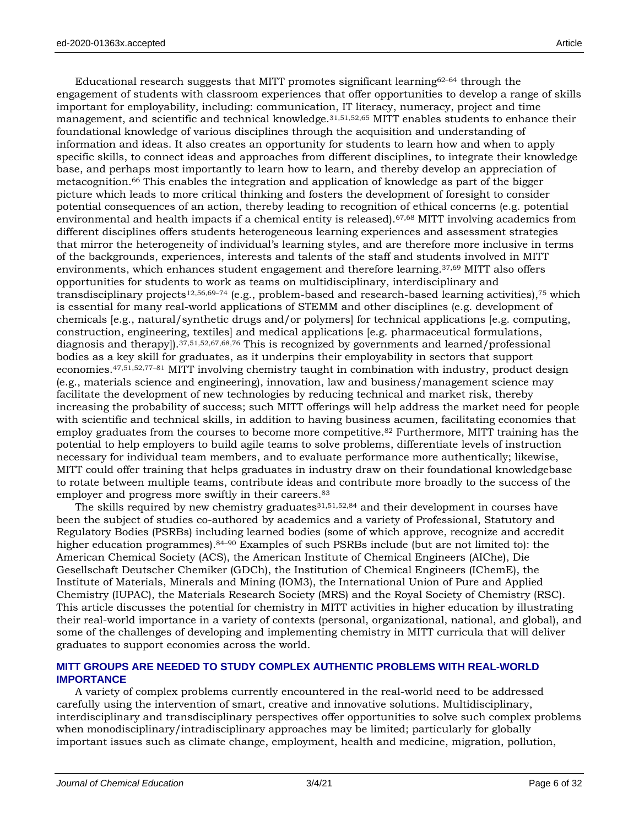Educational research suggests that MITT promotes significant learning $62-64$  through the engagement of students with classroom experiences that offer opportunities to develop a range of skills important for employability, including: communication, IT literacy, numeracy, project and time management, and scientific and technical knowledge.<sup>31,51,52,65</sup> MITT enables students to enhance their foundational knowledge of various disciplines through the acquisition and understanding of information and ideas. It also creates an opportunity for students to learn how and when to apply specific skills, to connect ideas and approaches from different disciplines, to integrate their knowledge base, and perhaps most importantly to learn how to learn, and thereby develop an appreciation of metacognition.<sup>66</sup> This enables the integration and application of knowledge as part of the bigger picture which leads to more critical thinking and fosters the development of foresight to consider potential consequences of an action, thereby leading to recognition of ethical concerns (e.g. potential environmental and health impacts if a chemical entity is released).67,68 MITT involving academics from different disciplines offers students heterogeneous learning experiences and assessment strategies that mirror the heterogeneity of individual's learning styles, and are therefore more inclusive in terms of the backgrounds, experiences, interests and talents of the staff and students involved in MITT environments, which enhances student engagement and therefore learning.37,69 MITT also offers opportunities for students to work as teams on multidisciplinary, interdisciplinary and transdisciplinary projects<sup>12,56,69–74</sup> (e.g., problem-based and research-based learning activities),<sup>75</sup> which is essential for many real-world applications of STEMM and other disciplines (e.g. development of chemicals [e.g., natural/synthetic drugs and/or polymers] for technical applications [e.g. computing, construction, engineering, textiles] and medical applications [e.g. pharmaceutical formulations, diagnosis and therapy]).37,51,52,67,68,76 This is recognized by governments and learned/professional bodies as a key skill for graduates, as it underpins their employability in sectors that support economies.47,51,52,77–<sup>81</sup> MITT involving chemistry taught in combination with industry, product design (e.g., materials science and engineering), innovation, law and business/management science may facilitate the development of new technologies by reducing technical and market risk, thereby increasing the probability of success; such MITT offerings will help address the market need for people with scientific and technical skills, in addition to having business acumen, facilitating economies that employ graduates from the courses to become more competitive.<sup>82</sup> Furthermore, MITT training has the potential to help employers to build agile teams to solve problems, differentiate levels of instruction necessary for individual team members, and to evaluate performance more authentically; likewise, MITT could offer training that helps graduates in industry draw on their foundational knowledgebase to rotate between multiple teams, contribute ideas and contribute more broadly to the success of the employer and progress more swiftly in their careers.<sup>83</sup>

The skills required by new chemistry graduates<sup>31,51,52,84</sup> and their development in courses have been the subject of studies co-authored by academics and a variety of Professional, Statutory and Regulatory Bodies (PSRBs) including learned bodies (some of which approve, recognize and accredit higher education programmes).<sup>84–90</sup> Examples of such PSRBs include (but are not limited to): the American Chemical Society (ACS), the American Institute of Chemical Engineers (AIChe), Die Gesellschaft Deutscher Chemiker (GDCh), the Institution of Chemical Engineers (IChemE), the Institute of Materials, Minerals and Mining (IOM3), the International Union of Pure and Applied Chemistry (IUPAC), the Materials Research Society (MRS) and the Royal Society of Chemistry (RSC). This article discusses the potential for chemistry in MITT activities in higher education by illustrating their real-world importance in a variety of contexts (personal, organizational, national, and global), and some of the challenges of developing and implementing chemistry in MITT curricula that will deliver graduates to support economies across the world.

# **MITT GROUPS ARE NEEDED TO STUDY COMPLEX AUTHENTIC PROBLEMS WITH REAL-WORLD IMPORTANCE**

A variety of complex problems currently encountered in the real-world need to be addressed carefully using the intervention of smart, creative and innovative solutions. Multidisciplinary, interdisciplinary and transdisciplinary perspectives offer opportunities to solve such complex problems when monodisciplinary/intradisciplinary approaches may be limited; particularly for globally important issues such as climate change, employment, health and medicine, migration, pollution,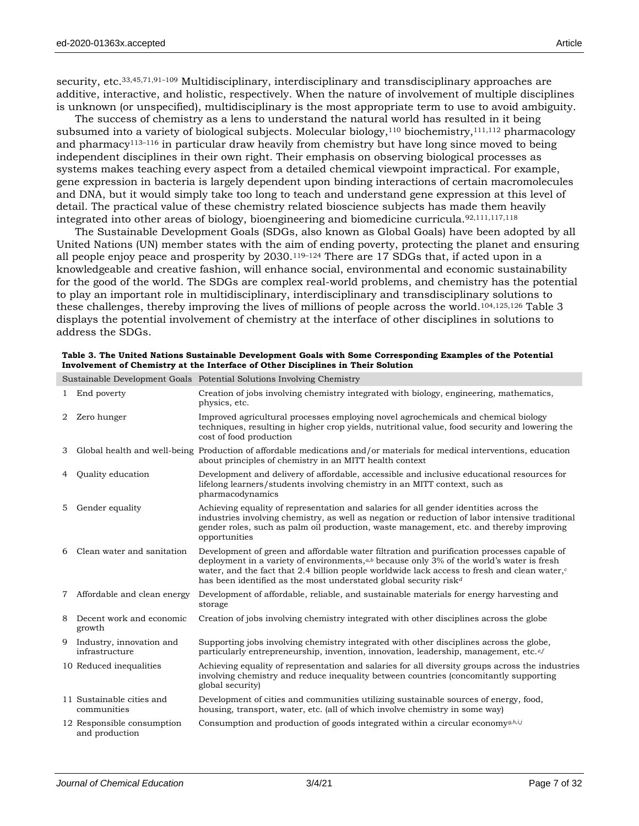security, etc.<sup>33,45,71,91–109</sup> Multidisciplinary, interdisciplinary and transdisciplinary approaches are additive, interactive, and holistic, respectively. When the nature of involvement of multiple disciplines is unknown (or unspecified), multidisciplinary is the most appropriate term to use to avoid ambiguity.

The success of chemistry as a lens to understand the natural world has resulted in it being subsumed into a variety of biological subjects. Molecular biology,<sup>110</sup> biochemistry,<sup>111,112</sup> pharmacology and pharmacy<sup>113–116</sup> in particular draw heavily from chemistry but have long since moved to being independent disciplines in their own right. Their emphasis on observing biological processes as systems makes teaching every aspect from a detailed chemical viewpoint impractical. For example, gene expression in bacteria is largely dependent upon binding interactions of certain macromolecules and DNA, but it would simply take too long to teach and understand gene expression at this level of detail. The practical value of these chemistry related bioscience subjects has made them heavily integrated into other areas of biology, bioengineering and biomedicine curricula.92,111,117,118

The Sustainable Development Goals (SDGs, also known as Global Goals) have been adopted by all United Nations (UN) member states with the aim of ending poverty, protecting the planet and ensuring all people enjoy peace and prosperity by 2030.119–<sup>124</sup> There are 17 SDGs that, if acted upon in a knowledgeable and creative fashion, will enhance social, environmental and economic sustainability for the good of the world. The SDGs are complex real-world problems, and chemistry has the potential to play an important role in multidisciplinary, interdisciplinary and transdisciplinary solutions to these challenges, thereby improving the lives of millions of people across the world.104,125,126 Table 3 displays the potential involvement of chemistry at the interface of other disciplines in solutions to address the SDGs.

|                |                                              | Sustainable Development Goals Potential Solutions Involving Chemistry                                                                                                                                                                                                                                                                                                                      |
|----------------|----------------------------------------------|--------------------------------------------------------------------------------------------------------------------------------------------------------------------------------------------------------------------------------------------------------------------------------------------------------------------------------------------------------------------------------------------|
| 1              | End poverty                                  | Creation of jobs involving chemistry integrated with biology, engineering, mathematics,<br>physics, etc.                                                                                                                                                                                                                                                                                   |
| $\overline{2}$ | Zero hunger                                  | Improved agricultural processes employing novel agrochemicals and chemical biology<br>techniques, resulting in higher crop yields, nutritional value, food security and lowering the<br>cost of food production                                                                                                                                                                            |
| 3              |                                              | Global health and well-being Production of affordable medications and/or materials for medical interventions, education<br>about principles of chemistry in an MITT health context                                                                                                                                                                                                         |
| 4              | Quality education                            | Development and delivery of affordable, accessible and inclusive educational resources for<br>lifelong learners/students involving chemistry in an MITT context, such as<br>pharmacodynamics                                                                                                                                                                                               |
| 5              | Gender equality                              | Achieving equality of representation and salaries for all gender identities across the<br>industries involving chemistry, as well as negation or reduction of labor intensive traditional<br>gender roles, such as palm oil production, waste management, etc. and thereby improving<br>opportunities                                                                                      |
| 6              | Clean water and sanitation                   | Development of green and affordable water filtration and purification processes capable of<br>deployment in a variety of environments, $ab$ because only 3% of the world's water is fresh<br>water, and the fact that 2.4 billion people worldwide lack access to fresh and clean water, $c$<br>has been identified as the most understated global security risk <sup><math>d</math></sup> |
| 7              | Affordable and clean energy                  | Development of affordable, reliable, and sustainable materials for energy harvesting and<br>storage                                                                                                                                                                                                                                                                                        |
| 8              | Decent work and economic<br>growth           | Creation of jobs involving chemistry integrated with other disciplines across the globe                                                                                                                                                                                                                                                                                                    |
|                | 9 Industry, innovation and<br>infrastructure | Supporting jobs involving chemistry integrated with other disciplines across the globe,<br>particularly entrepreneurship, invention, innovation, leadership, management, etc. ef                                                                                                                                                                                                           |
|                | 10 Reduced inequalities                      | Achieving equality of representation and salaries for all diversity groups across the industries<br>involving chemistry and reduce inequality between countries (concomitantly supporting<br>global security)                                                                                                                                                                              |
|                | 11 Sustainable cities and<br>communities     | Development of cities and communities utilizing sustainable sources of energy, food,<br>housing, transport, water, etc. (all of which involve chemistry in some way)                                                                                                                                                                                                                       |
|                | 12 Responsible consumption<br>and production | Consumption and production of goods integrated within a circular economy $g,h,i,j$                                                                                                                                                                                                                                                                                                         |

**Table 3. The United Nations Sustainable Development Goals with Some Corresponding Examples of the Potential Involvement of Chemistry at the Interface of Other Disciplines in Their Solution**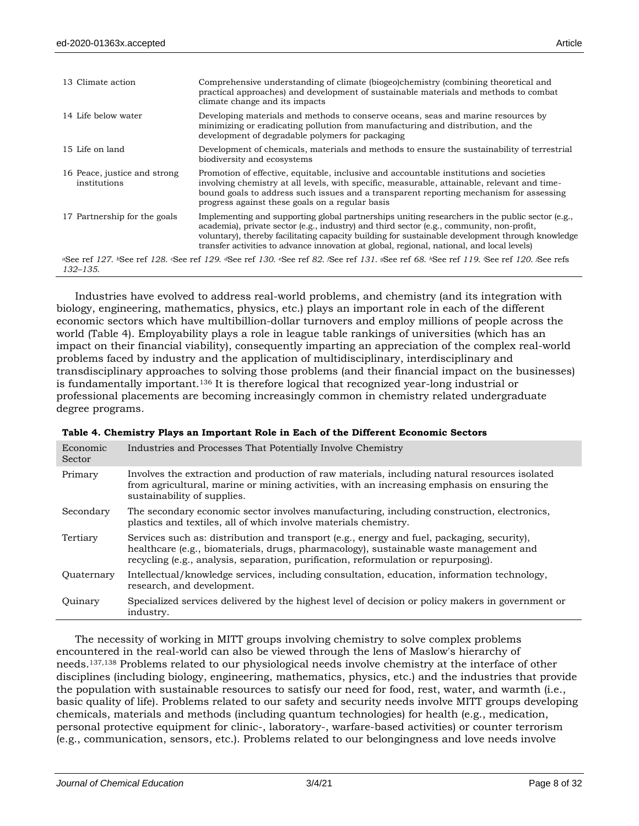| 13 Climate action                            | Comprehensive understanding of climate (biogeo)chemistry (combining theoretical and<br>practical approaches) and development of sustainable materials and methods to combat<br>climate change and its impacts                                                                                                                                                                                      |
|----------------------------------------------|----------------------------------------------------------------------------------------------------------------------------------------------------------------------------------------------------------------------------------------------------------------------------------------------------------------------------------------------------------------------------------------------------|
| 14 Life below water                          | Developing materials and methods to conserve oceans, seas and marine resources by<br>minimizing or eradicating pollution from manufacturing and distribution, and the<br>development of degradable polymers for packaging                                                                                                                                                                          |
| 15 Life on land                              | Development of chemicals, materials and methods to ensure the sustainability of terrestrial<br>biodiversity and ecosystems                                                                                                                                                                                                                                                                         |
| 16 Peace, justice and strong<br>institutions | Promotion of effective, equitable, inclusive and accountable institutions and societies<br>involving chemistry at all levels, with specific, measurable, attainable, relevant and time-<br>bound goals to address such issues and a transparent reporting mechanism for assessing<br>progress against these goals on a regular basis                                                               |
| 17 Partnership for the goals                 | Implementing and supporting global partnerships uniting researchers in the public sector $(e.g.,\)$<br>academia), private sector (e.g., industry) and third sector (e.g., community, non-profit,<br>voluntary), thereby facilitating capacity building for sustainable development through knowledge<br>transfer activities to advance innovation at global, regional, national, and local levels) |
| 132–135.                                     | «See ref 127. »See ref 128. «See ref 129. «See ref 130. «See ref 82. «See ref 131. «See ref 68. »See ref 119. «See ref 120. »See refs                                                                                                                                                                                                                                                              |

Industries have evolved to address real-world problems, and chemistry (and its integration with biology, engineering, mathematics, physics, etc.) plays an important role in each of the different economic sectors which have multibillion-dollar turnovers and employ millions of people across the world (Table 4). Employability plays a role in league table rankings of universities (which has an impact on their financial viability), consequently imparting an appreciation of the complex real-world problems faced by industry and the application of multidisciplinary, interdisciplinary and transdisciplinary approaches to solving those problems (and their financial impact on the businesses) is fundamentally important.<sup>136</sup> It is therefore logical that recognized year-long industrial or professional placements are becoming increasingly common in chemistry related undergraduate degree programs.

| Economic<br>Sector | Industries and Processes That Potentially Involve Chemistry                                                                                                                                                                                                                 |
|--------------------|-----------------------------------------------------------------------------------------------------------------------------------------------------------------------------------------------------------------------------------------------------------------------------|
| Primary            | Involves the extraction and production of raw materials, including natural resources isolated<br>from agricultural, marine or mining activities, with an increasing emphasis on ensuring the<br>sustainability of supplies.                                                 |
| Secondary          | The secondary economic sector involves manufacturing, including construction, electronics,<br>plastics and textiles, all of which involve materials chemistry.                                                                                                              |
| Tertiary           | Services such as: distribution and transport (e.g., energy and fuel, packaging, security),<br>healthcare (e.g., biomaterials, drugs, pharmacology), sustainable waste management and<br>recycling (e.g., analysis, separation, purification, reformulation or repurposing). |
| Quaternary         | Intellectual/knowledge services, including consultation, education, information technology,<br>research, and development.                                                                                                                                                   |
| Quinary            | Specialized services delivered by the highest level of decision or policy makers in government or<br>industry.                                                                                                                                                              |

|  |  |  | Table 4. Chemistry Plays an Important Role in Each of the Different Economic Sectors |  |
|--|--|--|--------------------------------------------------------------------------------------|--|
|  |  |  |                                                                                      |  |

The necessity of working in MITT groups involving chemistry to solve complex problems encountered in the real-world can also be viewed through the lens of Maslow's hierarchy of needs.137,138 Problems related to our physiological needs involve chemistry at the interface of other disciplines (including biology, engineering, mathematics, physics, etc.) and the industries that provide the population with sustainable resources to satisfy our need for food, rest, water, and warmth (i.e., basic quality of life). Problems related to our safety and security needs involve MITT groups developing chemicals, materials and methods (including quantum technologies) for health (e.g., medication, personal protective equipment for clinic-, laboratory-, warfare-based activities) or counter terrorism (e.g., communication, sensors, etc.). Problems related to our belongingness and love needs involve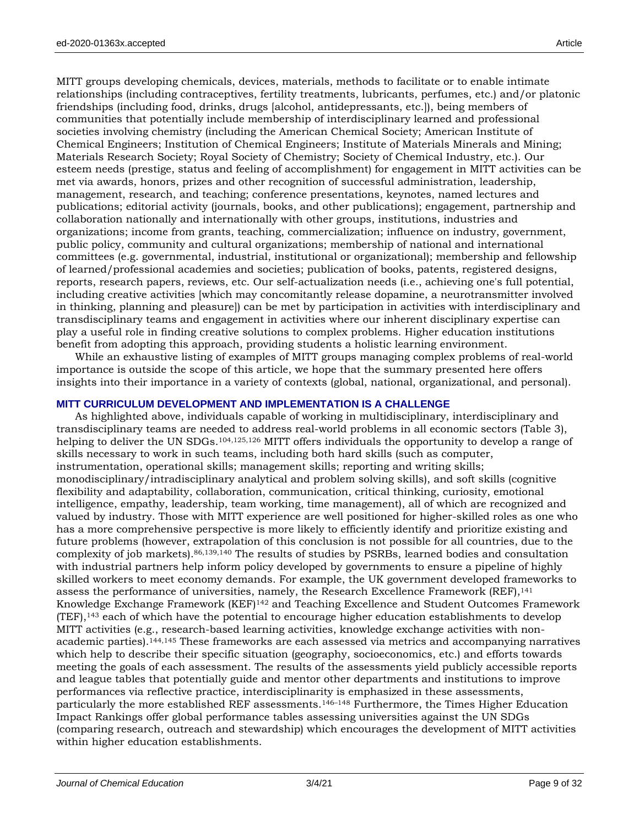MITT groups developing chemicals, devices, materials, methods to facilitate or to enable intimate relationships (including contraceptives, fertility treatments, lubricants, perfumes, etc.) and/or platonic friendships (including food, drinks, drugs [alcohol, antidepressants, etc.]), being members of communities that potentially include membership of interdisciplinary learned and professional societies involving chemistry (including the American Chemical Society; American Institute of Chemical Engineers; Institution of Chemical Engineers; Institute of Materials Minerals and Mining; Materials Research Society; Royal Society of Chemistry; Society of Chemical Industry, etc.). Our esteem needs (prestige, status and feeling of accomplishment) for engagement in MITT activities can be met via awards, honors, prizes and other recognition of successful administration, leadership, management, research, and teaching; conference presentations, keynotes, named lectures and publications; editorial activity (journals, books, and other publications); engagement, partnership and collaboration nationally and internationally with other groups, institutions, industries and organizations; income from grants, teaching, commercialization; influence on industry, government, public policy, community and cultural organizations; membership of national and international committees (e.g. governmental, industrial, institutional or organizational); membership and fellowship of learned/professional academies and societies; publication of books, patents, registered designs, reports, research papers, reviews, etc. Our self-actualization needs (i.e., achieving one's full potential, including creative activities [which may concomitantly release dopamine, a neurotransmitter involved in thinking, planning and pleasure]) can be met by participation in activities with interdisciplinary and transdisciplinary teams and engagement in activities where our inherent disciplinary expertise can play a useful role in finding creative solutions to complex problems. Higher education institutions benefit from adopting this approach, providing students a holistic learning environment.

While an exhaustive listing of examples of MITT groups managing complex problems of real-world importance is outside the scope of this article, we hope that the summary presented here offers insights into their importance in a variety of contexts (global, national, organizational, and personal).

# **MITT CURRICULUM DEVELOPMENT AND IMPLEMENTATION IS A CHALLENGE**

As highlighted above, individuals capable of working in multidisciplinary, interdisciplinary and transdisciplinary teams are needed to address real-world problems in all economic sectors (Table 3), helping to deliver the UN SDGs.<sup>104,125,126</sup> MITT offers individuals the opportunity to develop a range of skills necessary to work in such teams, including both hard skills (such as computer, instrumentation, operational skills; management skills; reporting and writing skills; monodisciplinary/intradisciplinary analytical and problem solving skills), and soft skills (cognitive flexibility and adaptability, collaboration, communication, critical thinking, curiosity, emotional intelligence, empathy, leadership, team working, time management), all of which are recognized and valued by industry. Those with MITT experience are well positioned for higher-skilled roles as one who has a more comprehensive perspective is more likely to efficiently identify and prioritize existing and future problems (however, extrapolation of this conclusion is not possible for all countries, due to the complexity of job markets).86,139,140 The results of studies by PSRBs, learned bodies and consultation with industrial partners help inform policy developed by governments to ensure a pipeline of highly skilled workers to meet economy demands. For example, the UK government developed frameworks to assess the performance of universities, namely, the Research Excellence Framework (REF), <sup>141</sup> Knowledge Exchange Framework (KEF)<sup>142</sup> and Teaching Excellence and Student Outcomes Framework  $(TEF)$ ,<sup>143</sup> each of which have the potential to encourage higher education establishments to develop MITT activities (e.g., research-based learning activities, knowledge exchange activities with nonacademic parties).144,145 These frameworks are each assessed via metrics and accompanying narratives which help to describe their specific situation (geography, socioeconomics, etc.) and efforts towards meeting the goals of each assessment. The results of the assessments yield publicly accessible reports and league tables that potentially guide and mentor other departments and institutions to improve performances via reflective practice, interdisciplinarity is emphasized in these assessments, particularly the more established REF assessments.146–<sup>148</sup> Furthermore, the Times Higher Education Impact Rankings offer global performance tables assessing universities against the UN SDGs (comparing research, outreach and stewardship) which encourages the development of MITT activities within higher education establishments.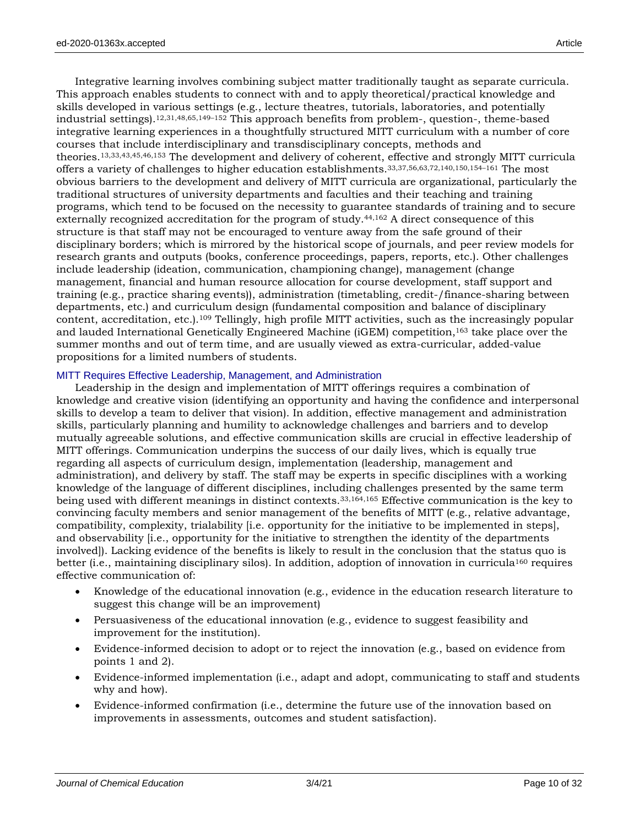Integrative learning involves combining subject matter traditionally taught as separate curricula. This approach enables students to connect with and to apply theoretical/practical knowledge and skills developed in various settings (e.g., lecture theatres, tutorials, laboratories, and potentially industrial settings).12,31,48,65,149–<sup>152</sup> This approach benefits from problem-, question-, theme-based integrative learning experiences in a thoughtfully structured MITT curriculum with a number of core courses that include interdisciplinary and transdisciplinary concepts, methods and theories.13,33,43,45,46,153 The development and delivery of coherent, effective and strongly MITT curricula offers a variety of challenges to higher education establishments.33,37,56,63,72,140,150,154–<sup>161</sup> The most obvious barriers to the development and delivery of MITT curricula are organizational, particularly the traditional structures of university departments and faculties and their teaching and training programs, which tend to be focused on the necessity to guarantee standards of training and to secure externally recognized accreditation for the program of study.44,162 A direct consequence of this structure is that staff may not be encouraged to venture away from the safe ground of their disciplinary borders; which is mirrored by the historical scope of journals, and peer review models for research grants and outputs (books, conference proceedings, papers, reports, etc.). Other challenges include leadership (ideation, communication, championing change), management (change management, financial and human resource allocation for course development, staff support and training (e.g., practice sharing events)), administration (timetabling, credit-/finance-sharing between departments, etc.) and curriculum design (fundamental composition and balance of disciplinary content, accreditation, etc.).<sup>109</sup> Tellingly, high profile MITT activities, such as the increasingly popular and lauded International Genetically Engineered Machine (iGEM) competition, <sup>163</sup> take place over the summer months and out of term time, and are usually viewed as extra-curricular, added-value propositions for a limited numbers of students.

#### MITT Requires Effective Leadership, Management, and Administration

Leadership in the design and implementation of MITT offerings requires a combination of knowledge and creative vision (identifying an opportunity and having the confidence and interpersonal skills to develop a team to deliver that vision). In addition, effective management and administration skills, particularly planning and humility to acknowledge challenges and barriers and to develop mutually agreeable solutions, and effective communication skills are crucial in effective leadership of MITT offerings. Communication underpins the success of our daily lives, which is equally true regarding all aspects of curriculum design, implementation (leadership, management and administration), and delivery by staff. The staff may be experts in specific disciplines with a working knowledge of the language of different disciplines, including challenges presented by the same term being used with different meanings in distinct contexts.33,164,165 Effective communication is the key to convincing faculty members and senior management of the benefits of MITT (e.g., relative advantage, compatibility, complexity, trialability [i.e. opportunity for the initiative to be implemented in steps], and observability [i.e., opportunity for the initiative to strengthen the identity of the departments involved]). Lacking evidence of the benefits is likely to result in the conclusion that the status quo is better (i.e., maintaining disciplinary silos). In addition, adoption of innovation in curricula<sup>160</sup> requires effective communication of:

- Knowledge of the educational innovation (e.g., evidence in the education research literature to suggest this change will be an improvement)
- Persuasiveness of the educational innovation (e.g., evidence to suggest feasibility and improvement for the institution).
- Evidence-informed decision to adopt or to reject the innovation (e.g., based on evidence from points 1 and 2).
- Evidence-informed implementation (i.e., adapt and adopt, communicating to staff and students why and how).
- Evidence-informed confirmation (i.e., determine the future use of the innovation based on improvements in assessments, outcomes and student satisfaction).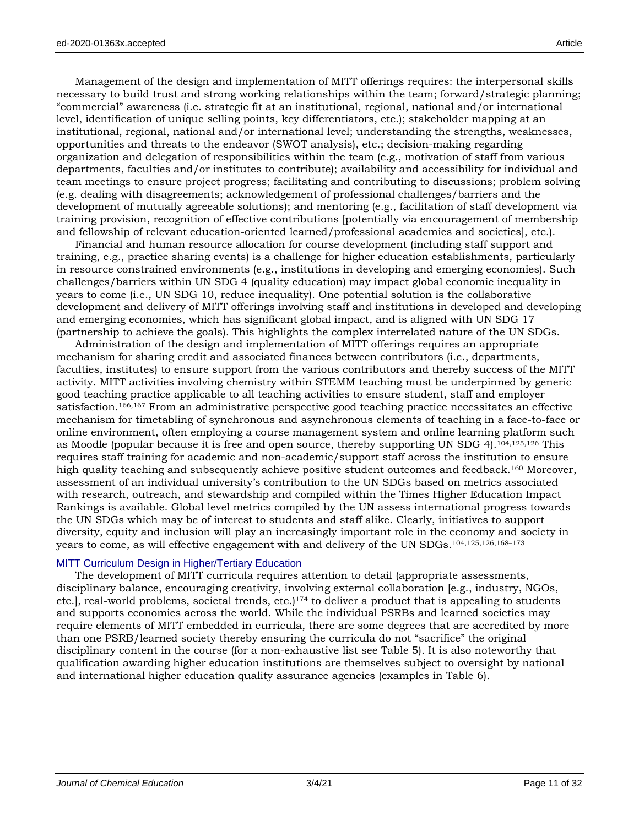Management of the design and implementation of MITT offerings requires: the interpersonal skills necessary to build trust and strong working relationships within the team; forward/strategic planning; "commercial" awareness (i.e. strategic fit at an institutional, regional, national and/or international level, identification of unique selling points, key differentiators, etc.); stakeholder mapping at an institutional, regional, national and/or international level; understanding the strengths, weaknesses, opportunities and threats to the endeavor (SWOT analysis), etc.; decision-making regarding organization and delegation of responsibilities within the team (e.g., motivation of staff from various departments, faculties and/or institutes to contribute); availability and accessibility for individual and team meetings to ensure project progress; facilitating and contributing to discussions; problem solving (e.g. dealing with disagreements; acknowledgement of professional challenges/barriers and the development of mutually agreeable solutions); and mentoring (e.g., facilitation of staff development via training provision, recognition of effective contributions [potentially via encouragement of membership and fellowship of relevant education-oriented learned/professional academies and societies], etc.).

Financial and human resource allocation for course development (including staff support and training, e.g., practice sharing events) is a challenge for higher education establishments, particularly in resource constrained environments (e.g., institutions in developing and emerging economies). Such challenges/barriers within UN SDG 4 (quality education) may impact global economic inequality in years to come (i.e., UN SDG 10, reduce inequality). One potential solution is the collaborative development and delivery of MITT offerings involving staff and institutions in developed and developing and emerging economies, which has significant global impact, and is aligned with UN SDG 17 (partnership to achieve the goals). This highlights the complex interrelated nature of the UN SDGs.

Administration of the design and implementation of MITT offerings requires an appropriate mechanism for sharing credit and associated finances between contributors (i.e., departments, faculties, institutes) to ensure support from the various contributors and thereby success of the MITT activity. MITT activities involving chemistry within STEMM teaching must be underpinned by generic good teaching practice applicable to all teaching activities to ensure student, staff and employer satisfaction.166,167 From an administrative perspective good teaching practice necessitates an effective mechanism for timetabling of synchronous and asynchronous elements of teaching in a face-to-face or online environment, often employing a course management system and online learning platform such as Moodle (popular because it is free and open source, thereby supporting UN SDG 4).104,125,126 This requires staff training for academic and non-academic/support staff across the institution to ensure high quality teaching and subsequently achieve positive student outcomes and feedback.<sup>160</sup> Moreover, assessment of an individual university's contribution to the UN SDGs based on metrics associated with research, outreach, and stewardship and compiled within the Times Higher Education Impact Rankings is available. Global level metrics compiled by the UN assess international progress towards the UN SDGs which may be of interest to students and staff alike. Clearly, initiatives to support diversity, equity and inclusion will play an increasingly important role in the economy and society in years to come, as will effective engagement with and delivery of the UN SDGs.104,125,126,168–<sup>173</sup>

# MITT Curriculum Design in Higher/Tertiary Education

The development of MITT curricula requires attention to detail (appropriate assessments, disciplinary balance, encouraging creativity, involving external collaboration [e.g., industry, NGOs, etc.], real-world problems, societal trends, etc. $]^{174}$  to deliver a product that is appealing to students and supports economies across the world. While the individual PSRBs and learned societies may require elements of MITT embedded in curricula, there are some degrees that are accredited by more than one PSRB/learned society thereby ensuring the curricula do not "sacrifice" the original disciplinary content in the course (for a non-exhaustive list see Table 5). It is also noteworthy that qualification awarding higher education institutions are themselves subject to oversight by national and international higher education quality assurance agencies (examples in Table 6).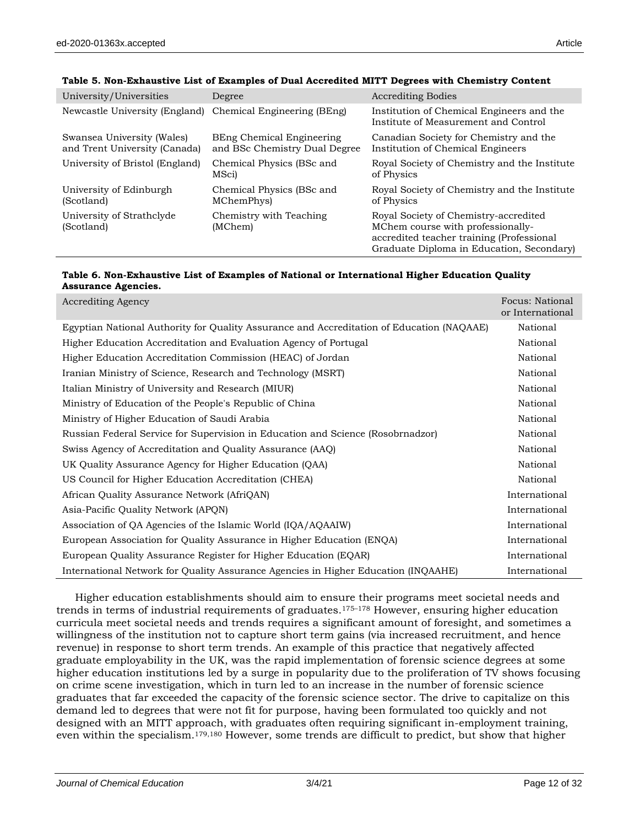| University/Universities                                     | Degree                                                     | <b>Accrediting Bodies</b>                                                                                                                                            |
|-------------------------------------------------------------|------------------------------------------------------------|----------------------------------------------------------------------------------------------------------------------------------------------------------------------|
| Newcastle University (England)                              | Chemical Engineering (BEng)                                | Institution of Chemical Engineers and the<br>Institute of Measurement and Control                                                                                    |
| Swansea University (Wales)<br>and Trent University (Canada) | BEng Chemical Engineering<br>and BSc Chemistry Dual Degree | Canadian Society for Chemistry and the<br>Institution of Chemical Engineers                                                                                          |
| University of Bristol (England)                             | Chemical Physics (BSc and<br>MSci)                         | Royal Society of Chemistry and the Institute<br>of Physics                                                                                                           |
| University of Edinburgh<br>(Scotland)                       | Chemical Physics (BSc and<br>MChemPhys)                    | Royal Society of Chemistry and the Institute<br>of Physics                                                                                                           |
| University of Strathclyde<br>(Scotland)                     | Chemistry with Teaching<br>(MChem)                         | Royal Society of Chemistry-accredited<br>MChem course with professionally-<br>accredited teacher training (Professional<br>Graduate Diploma in Education, Secondary) |

#### **Table 5. Non-Exhaustive List of Examples of Dual Accredited MITT Degrees with Chemistry Content**

#### **Table 6. Non-Exhaustive List of Examples of National or International Higher Education Quality Assurance Agencies.**

| <b>Accrediting Agency</b>                                                                 | Focus: National<br>or International |
|-------------------------------------------------------------------------------------------|-------------------------------------|
| Egyptian National Authority for Quality Assurance and Accreditation of Education (NAQAAE) | National                            |
| Higher Education Accreditation and Evaluation Agency of Portugal                          | National                            |
| Higher Education Accreditation Commission (HEAC) of Jordan                                | National                            |
| Iranian Ministry of Science, Research and Technology (MSRT)                               | National                            |
| Italian Ministry of University and Research (MIUR)                                        | National                            |
| Ministry of Education of the People's Republic of China                                   | National                            |
| Ministry of Higher Education of Saudi Arabia                                              | National                            |
| Russian Federal Service for Supervision in Education and Science (Rosobrnadzor)           | National                            |
| Swiss Agency of Accreditation and Quality Assurance (AAQ)                                 | National                            |
| UK Quality Assurance Agency for Higher Education (QAA)                                    | National                            |
| US Council for Higher Education Accreditation (CHEA)                                      | National                            |
| African Quality Assurance Network (AfriQAN)                                               | International                       |
| Asia-Pacific Quality Network (APQN)                                                       | International                       |
| Association of QA Agencies of the Islamic World (IQA/AQAAIW)                              | International                       |
| European Association for Quality Assurance in Higher Education (ENQA)                     | International                       |
| European Quality Assurance Register for Higher Education (EQAR)                           | International                       |
| International Network for Quality Assurance Agencies in Higher Education (INQAAHE)        | International                       |

Higher education establishments should aim to ensure their programs meet societal needs and trends in terms of industrial requirements of graduates.175–<sup>178</sup> However, ensuring higher education curricula meet societal needs and trends requires a significant amount of foresight, and sometimes a willingness of the institution not to capture short term gains (via increased recruitment, and hence revenue) in response to short term trends. An example of this practice that negatively affected graduate employability in the UK, was the rapid implementation of forensic science degrees at some higher education institutions led by a surge in popularity due to the proliferation of TV shows focusing on crime scene investigation, which in turn led to an increase in the number of forensic science graduates that far exceeded the capacity of the forensic science sector. The drive to capitalize on this demand led to degrees that were not fit for purpose, having been formulated too quickly and not designed with an MITT approach, with graduates often requiring significant in-employment training, even within the specialism.179,180 However, some trends are difficult to predict, but show that higher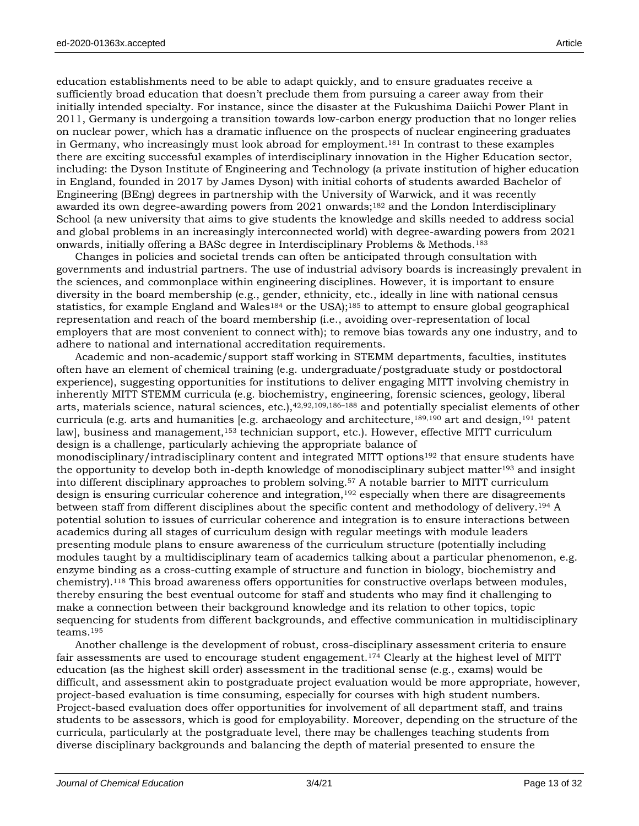education establishments need to be able to adapt quickly, and to ensure graduates receive a sufficiently broad education that doesn't preclude them from pursuing a career away from their initially intended specialty. For instance, since the disaster at the Fukushima Daiichi Power Plant in 2011, Germany is undergoing a transition towards low-carbon energy production that no longer relies on nuclear power, which has a dramatic influence on the prospects of nuclear engineering graduates in Germany, who increasingly must look abroad for employment.<sup>181</sup> In contrast to these examples there are exciting successful examples of interdisciplinary innovation in the Higher Education sector, including: the Dyson Institute of Engineering and Technology (a private institution of higher education in England, founded in 2017 by James Dyson) with initial cohorts of students awarded Bachelor of Engineering (BEng) degrees in partnership with the University of Warwick, and it was recently awarded its own degree-awarding powers from 2021 onwards;<sup>182</sup> and the London Interdisciplinary School (a new university that aims to give students the knowledge and skills needed to address social and global problems in an increasingly interconnected world) with degree-awarding powers from 2021 onwards, initially offering a BASc degree in Interdisciplinary Problems & Methods.<sup>183</sup>

Changes in policies and societal trends can often be anticipated through consultation with governments and industrial partners. The use of industrial advisory boards is increasingly prevalent in the sciences, and commonplace within engineering disciplines. However, it is important to ensure diversity in the board membership (e.g., gender, ethnicity, etc., ideally in line with national census statistics, for example England and Wales<sup>184</sup> or the USA);<sup>185</sup> to attempt to ensure global geographical representation and reach of the board membership (i.e., avoiding over-representation of local employers that are most convenient to connect with); to remove bias towards any one industry, and to adhere to national and international accreditation requirements.

Academic and non-academic/support staff working in STEMM departments, faculties, institutes often have an element of chemical training (e.g. undergraduate/postgraduate study or postdoctoral experience), suggesting opportunities for institutions to deliver engaging MITT involving chemistry in inherently MITT STEMM curricula (e.g. biochemistry, engineering, forensic sciences, geology, liberal arts, materials science, natural sciences, etc.),<sup>42,92,109,186-188</sup> and potentially specialist elements of other curricula (e.g. arts and humanities [e.g. archaeology and architecture,<sup>189,190</sup> art and design,<sup>191</sup> patent law], business and management,<sup>153</sup> technician support, etc.). However, effective MITT curriculum design is a challenge, particularly achieving the appropriate balance of monodisciplinary/intradisciplinary content and integrated MITT options<sup>192</sup> that ensure students have the opportunity to develop both in-depth knowledge of monodisciplinary subject matter<sup>193</sup> and insight into different disciplinary approaches to problem solving.<sup>57</sup> A notable barrier to MITT curriculum design is ensuring curricular coherence and integration,<sup>192</sup> especially when there are disagreements between staff from different disciplines about the specific content and methodology of delivery.<sup>194</sup> A potential solution to issues of curricular coherence and integration is to ensure interactions between academics during all stages of curriculum design with regular meetings with module leaders presenting module plans to ensure awareness of the curriculum structure (potentially including modules taught by a multidisciplinary team of academics talking about a particular phenomenon, e.g. enzyme binding as a cross-cutting example of structure and function in biology, biochemistry and chemistry).<sup>118</sup> This broad awareness offers opportunities for constructive overlaps between modules, thereby ensuring the best eventual outcome for staff and students who may find it challenging to make a connection between their background knowledge and its relation to other topics, topic sequencing for students from different backgrounds, and effective communication in multidisciplinary teams.<sup>195</sup>

Another challenge is the development of robust, cross-disciplinary assessment criteria to ensure fair assessments are used to encourage student engagement.<sup>174</sup> Clearly at the highest level of MITT education (as the highest skill order) assessment in the traditional sense (e.g., exams) would be difficult, and assessment akin to postgraduate project evaluation would be more appropriate, however, project-based evaluation is time consuming, especially for courses with high student numbers. Project-based evaluation does offer opportunities for involvement of all department staff, and trains students to be assessors, which is good for employability. Moreover, depending on the structure of the curricula, particularly at the postgraduate level, there may be challenges teaching students from diverse disciplinary backgrounds and balancing the depth of material presented to ensure the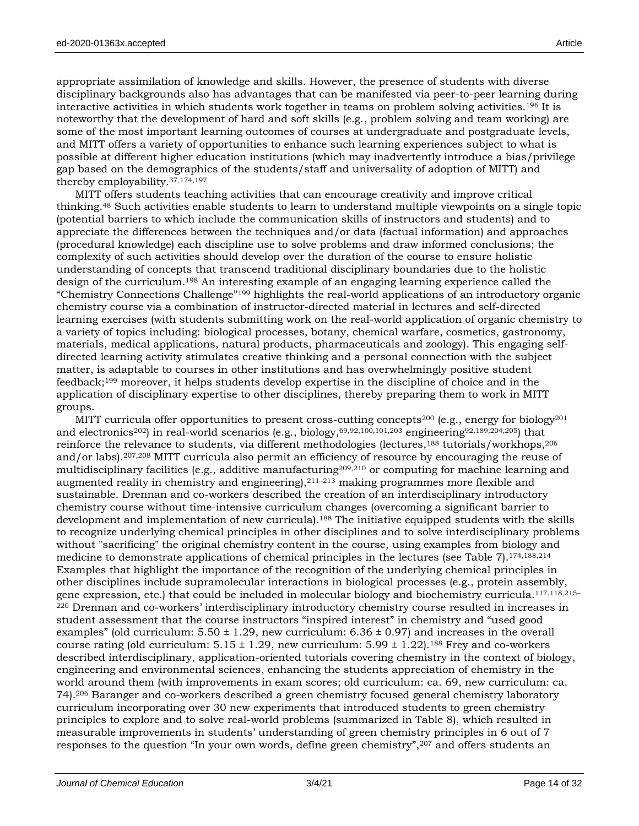appropriate assimilation of knowledge and skills. However, the presence of students with diverse disciplinary backgrounds also has advantages that can be manifested via peer-to-peer learning during interactive activities in which students work together in teams on problem solving activities.<sup>196</sup> It is noteworthy that the development of hard and soft skills (e.g., problem solving and team working) are some of the most important learning outcomes of courses at undergraduate and postgraduate levels, and MITT offers a variety of opportunities to enhance such learning experiences subject to what is possible at different higher education institutions (which may inadvertently introduce a bias/privilege gap based on the demographics of the students/staff and universality of adoption of MITT) and thereby employability.37,174,197

MITT offers students teaching activities that can encourage creativity and improve critical thinking.<sup>48</sup> Such activities enable students to learn to understand multiple viewpoints on a single topic (potential barriers to which include the communication skills of instructors and students) and to appreciate the differences between the techniques and/or data (factual information) and approaches (procedural knowledge) each discipline use to solve problems and draw informed conclusions; the complexity of such activities should develop over the duration of the course to ensure holistic understanding of concepts that transcend traditional disciplinary boundaries due to the holistic design of the curriculum.<sup>198</sup> An interesting example of an engaging learning experience called the "Chemistry Connections Challenge"<sup>199</sup> highlights the real-world applications of an introductory organic chemistry course via a combination of instructor-directed material in lectures and self-directed learning exercises (with students submitting work on the real-world application of organic chemistry to a variety of topics including: biological processes, botany, chemical warfare, cosmetics, gastronomy, materials, medical applications, natural products, pharmaceuticals and zoology). This engaging selfdirected learning activity stimulates creative thinking and a personal connection with the subject matter, is adaptable to courses in other institutions and has overwhelmingly positive student feedback;<sup>199</sup> moreover, it helps students develop expertise in the discipline of choice and in the application of disciplinary expertise to other disciplines, thereby preparing them to work in MITT groups.

MITT curricula offer opportunities to present cross-cutting concepts<sup>200</sup> (e.g., energy for biology<sup>201</sup>) and electronics<sup>202</sup>) in real-world scenarios (e.g., biology,<sup>69,92,100,101,203</sup> engineering<sup>92,189,204,205</sup>) that reinforce the relevance to students, via different methodologies (lectures,<sup>188</sup> tutorials/workhops,<sup>206</sup> and/or labs).207,208 MITT curricula also permit an efficiency of resource by encouraging the reuse of multidisciplinary facilities (e.g., additive manufacturing<sup>209,210</sup> or computing for machine learning and augmented reality in chemistry and engineering), $2^{11-213}$  making programmes more flexible and sustainable. Drennan and co-workers described the creation of an interdisciplinary introductory chemistry course without time-intensive curriculum changes (overcoming a significant barrier to development and implementation of new curricula). <sup>188</sup> The initiative equipped students with the skills to recognize underlying chemical principles in other disciplines and to solve interdisciplinary problems without "sacrificing" the original chemistry content in the course, using examples from biology and medicine to demonstrate applications of chemical principles in the lectures (see Table 7).174,188,214 Examples that highlight the importance of the recognition of the underlying chemical principles in other disciplines include supramolecular interactions in biological processes (e.g., protein assembly, gene expression, etc.) that could be included in molecular biology and biochemistry curricula.117,118,215– <sup>220</sup> Drennan and co-workers' interdisciplinary introductory chemistry course resulted in increases in student assessment that the course instructors "inspired interest" in chemistry and "used good examples" (old curriculum:  $5.50 \pm 1.29$ , new curriculum:  $6.36 \pm 0.97$ ) and increases in the overall course rating (old curriculum:  $5.15 \pm 1.29$ , new curriculum:  $5.99 \pm 1.22$ ).<sup>188</sup> Frey and co-workers described interdisciplinary, application-oriented tutorials covering chemistry in the context of biology, engineering and environmental sciences, enhancing the students appreciation of chemistry in the world around them (with improvements in exam scores; old curriculum: ca. 69, new curriculum: ca. 74).<sup>206</sup> Baranger and co-workers described a green chemistry focused general chemistry laboratory curriculum incorporating over 30 new experiments that introduced students to green chemistry principles to explore and to solve real-world problems (summarized in Table 8), which resulted in measurable improvements in students' understanding of green chemistry principles in 6 out of 7 responses to the question "In your own words, define green chemistry",<sup>207</sup> and offers students an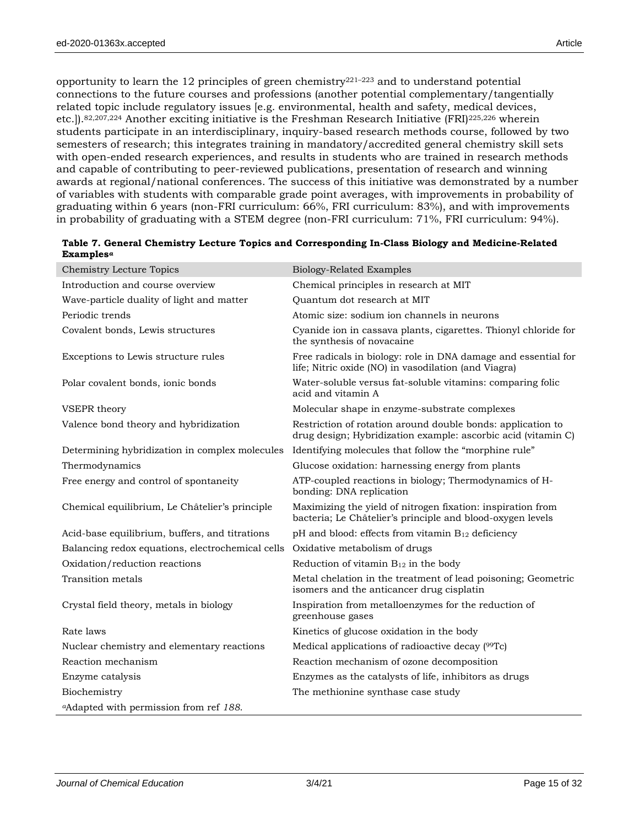opportunity to learn the 12 principles of green chemistry<sup>221–223</sup> and to understand potential connections to the future courses and professions (another potential complementary/tangentially related topic include regulatory issues [e.g. environmental, health and safety, medical devices, etc.]).82,207,224 Another exciting initiative is the Freshman Research Initiative (FRI)225,226 wherein students participate in an interdisciplinary, inquiry-based research methods course, followed by two semesters of research; this integrates training in mandatory/accredited general chemistry skill sets with open-ended research experiences, and results in students who are trained in research methods and capable of contributing to peer-reviewed publications, presentation of research and winning awards at regional/national conferences. The success of this initiative was demonstrated by a number of variables with students with comparable grade point averages, with improvements in probability of graduating within 6 years (non-FRI curriculum: 66%, FRI curriculum: 83%), and with improvements in probability of graduating with a STEM degree (non-FRI curriculum: 71%, FRI curriculum: 94%).

| <b>Chemistry Lecture Topics</b>                    | <b>Biology-Related Examples</b>                                                                                              |
|----------------------------------------------------|------------------------------------------------------------------------------------------------------------------------------|
| Introduction and course overview                   | Chemical principles in research at MIT                                                                                       |
| Wave-particle duality of light and matter          | Quantum dot research at MIT                                                                                                  |
| Periodic trends                                    | Atomic size: sodium ion channels in neurons                                                                                  |
| Covalent bonds, Lewis structures                   | Cyanide ion in cassava plants, cigarettes. Thionyl chloride for<br>the synthesis of novacaine                                |
| Exceptions to Lewis structure rules                | Free radicals in biology: role in DNA damage and essential for<br>life; Nitric oxide (NO) in vasodilation (and Viagra)       |
| Polar covalent bonds, ionic bonds                  | Water-soluble versus fat-soluble vitamins: comparing folic<br>acid and vitamin A                                             |
| VSEPR theory                                       | Molecular shape in enzyme-substrate complexes                                                                                |
| Valence bond theory and hybridization              | Restriction of rotation around double bonds: application to<br>drug design; Hybridization example: ascorbic acid (vitamin C) |
| Determining hybridization in complex molecules     | Identifying molecules that follow the "morphine rule"                                                                        |
| Thermodynamics                                     | Glucose oxidation: harnessing energy from plants                                                                             |
| Free energy and control of spontaneity             | ATP-coupled reactions in biology; Thermodynamics of H-<br>bonding: DNA replication                                           |
| Chemical equilibrium, Le Châtelier's principle     | Maximizing the yield of nitrogen fixation: inspiration from<br>bacteria; Le Châtelier's principle and blood-oxygen levels    |
| Acid-base equilibrium, buffers, and titrations     | pH and blood: effects from vitamin B12 deficiency                                                                            |
| Balancing redox equations, electrochemical cells   | Oxidative metabolism of drugs                                                                                                |
| Oxidation/reduction reactions                      | Reduction of vitamin $B_{12}$ in the body                                                                                    |
| Transition metals                                  | Metal chelation in the treatment of lead poisoning; Geometric<br>isomers and the anticancer drug cisplatin                   |
| Crystal field theory, metals in biology            | Inspiration from metalloenzymes for the reduction of<br>greenhouse gases                                                     |
| Rate laws                                          | Kinetics of glucose oxidation in the body                                                                                    |
| Nuclear chemistry and elementary reactions         | Medical applications of radioactive decay (99Tc)                                                                             |
| Reaction mechanism                                 | Reaction mechanism of ozone decomposition                                                                                    |
| Enzyme catalysis                                   | Enzymes as the catalysts of life, inhibitors as drugs                                                                        |
| Biochemistry                                       | The methionine synthase case study                                                                                           |
| <sup>a</sup> Adapted with permission from ref 188. |                                                                                                                              |

| Table 7. General Chemistry Lecture Topics and Corresponding In-Class Biology and Medicine-Related |
|---------------------------------------------------------------------------------------------------|
| $\bf Examples^a$                                                                                  |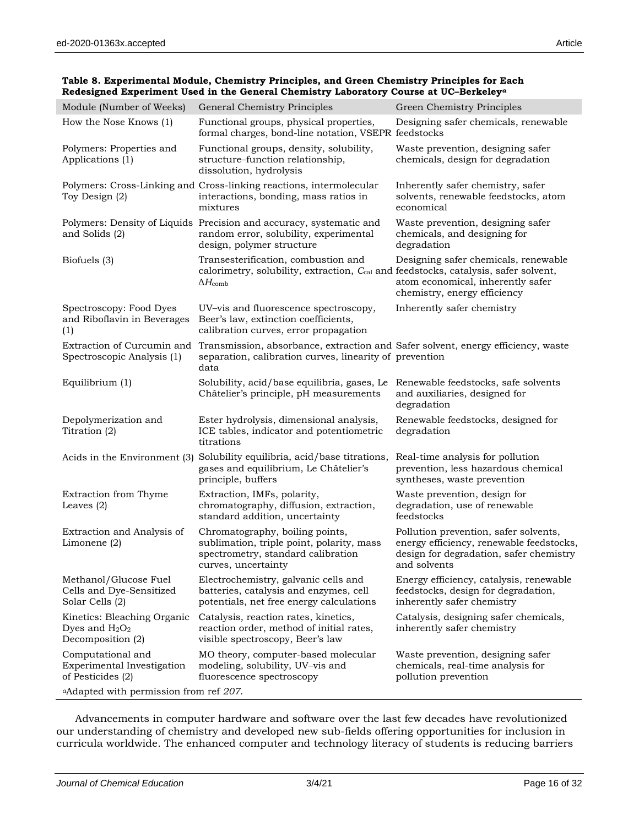| Module (Number of Weeks)                                              | General Chemistry Principles                                                                                                                        | Green Chemistry Principles                                                                                                                   |
|-----------------------------------------------------------------------|-----------------------------------------------------------------------------------------------------------------------------------------------------|----------------------------------------------------------------------------------------------------------------------------------------------|
| How the Nose Knows (1)                                                | Functional groups, physical properties,<br>formal charges, bond-line notation, VSEPR feedstocks                                                     | Designing safer chemicals, renewable                                                                                                         |
| Polymers: Properties and<br>Applications (1)                          | Functional groups, density, solubility,<br>structure-function relationship,<br>dissolution, hydrolysis                                              | Waste prevention, designing safer<br>chemicals, design for degradation                                                                       |
| Toy Design (2)                                                        | Polymers: Cross-Linking and Cross-linking reactions, intermolecular<br>interactions, bonding, mass ratios in<br>mixtures                            | Inherently safer chemistry, safer<br>solvents, renewable feedstocks, atom<br>economical                                                      |
| and Solids (2)                                                        | Polymers: Density of Liquids Precision and accuracy, systematic and<br>random error, solubility, experimental<br>design, polymer structure          | Waste prevention, designing safer<br>chemicals, and designing for<br>degradation                                                             |
| Biofuels (3)                                                          | Transesterification, combustion and<br>calorimetry, solubility, extraction, Ccal and feedstocks, catalysis, safer solvent,<br>$\Delta H_{\rm comb}$ | Designing safer chemicals, renewable<br>atom economical, inherently safer<br>chemistry, energy efficiency                                    |
| Spectroscopy: Food Dyes<br>and Riboflavin in Beverages<br>(1)         | UV-vis and fluorescence spectroscopy,<br>Beer's law, extinction coefficients,<br>calibration curves, error propagation                              | Inherently safer chemistry                                                                                                                   |
| Extraction of Curcumin and<br>Spectroscopic Analysis (1)              | Transmission, absorbance, extraction and Safer solvent, energy efficiency, waste<br>separation, calibration curves, linearity of prevention<br>data |                                                                                                                                              |
| Equilibrium (1)                                                       | Solubility, acid/base equilibria, gases, Le<br>Châtelier's principle, pH measurements                                                               | Renewable feedstocks, safe solvents<br>and auxiliaries, designed for<br>degradation                                                          |
| Depolymerization and<br>Titration (2)                                 | Ester hydrolysis, dimensional analysis,<br>ICE tables, indicator and potentiometric<br>titrations                                                   | Renewable feedstocks, designed for<br>degradation                                                                                            |
| Acids in the Environment (3)                                          | Solubility equilibria, acid/base titrations,<br>gases and equilibrium, Le Châtelier's<br>principle, buffers                                         | Real-time analysis for pollution<br>prevention, less hazardous chemical<br>syntheses, waste prevention                                       |
| Extraction from Thyme<br>Leaves $(2)$                                 | Extraction, IMFs, polarity,<br>chromatography, diffusion, extraction,<br>standard addition, uncertainty                                             | Waste prevention, design for<br>degradation, use of renewable<br>feedstocks                                                                  |
| Extraction and Analysis of<br>Limonene $(2)$                          | Chromatography, boiling points,<br>sublimation, triple point, polarity, mass<br>spectrometry, standard calibration<br>curves, uncertainty           | Pollution prevention, safer solvents,<br>energy efficiency, renewable feedstocks,<br>design for degradation, safer chemistry<br>and solvents |
| Methanol/Glucose Fuel<br>Cells and Dye-Sensitized<br>Solar Cells (2)  | Electrochemistry, galvanic cells and<br>batteries, catalysis and enzymes, cell<br>potentials, net free energy calculations                          | Energy efficiency, catalysis, renewable<br>feedstocks, design for degradation,<br>inherently safer chemistry                                 |
| Kinetics: Bleaching Organic<br>Dyes and $H_2O_2$<br>Decomposition (2) | Catalysis, reaction rates, kinetics,<br>reaction order, method of initial rates,<br>visible spectroscopy, Beer's law                                | Catalysis, designing safer chemicals,<br>inherently safer chemistry                                                                          |
| Computational and<br>Experimental Investigation<br>of Pesticides (2)  | MO theory, computer-based molecular<br>modeling, solubility, UV-vis and<br>fluorescence spectroscopy                                                | Waste prevention, designing safer<br>chemicals, real-time analysis for<br>pollution prevention                                               |
| <sup>a</sup> Adapted with permission from ref 207.                    |                                                                                                                                                     |                                                                                                                                              |

#### **Table 8. Experimental Module, Chemistry Principles, and Green Chemistry Principles for Each Redesigned Experiment Used in the General Chemistry Laboratory Course at UC–Berkeley***<sup>a</sup>*

Advancements in computer hardware and software over the last few decades have revolutionized our understanding of chemistry and developed new sub-fields offering opportunities for inclusion in curricula worldwide. The enhanced computer and technology literacy of students is reducing barriers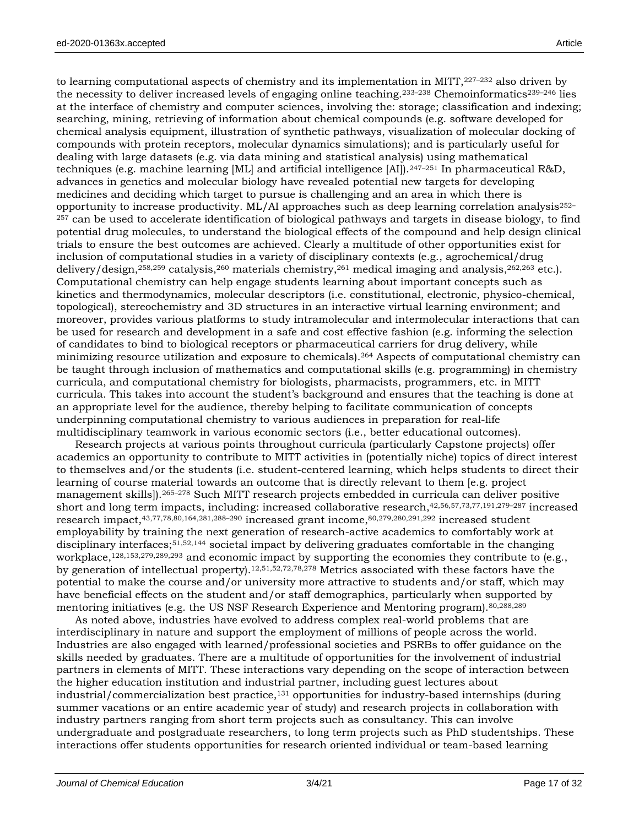to learning computational aspects of chemistry and its implementation in MITT, 227-232 also driven by the necessity to deliver increased levels of engaging online teaching.<sup>233-238</sup> Chemoinformatics<sup>239-246</sup> lies at the interface of chemistry and computer sciences, involving the: storage; classification and indexing; searching, mining, retrieving of information about chemical compounds (e.g. software developed for chemical analysis equipment, illustration of synthetic pathways, visualization of molecular docking of compounds with protein receptors, molecular dynamics simulations); and is particularly useful for dealing with large datasets (e.g. via data mining and statistical analysis) using mathematical techniques (e.g. machine learning [ML] and artificial intelligence [AI]).247–<sup>251</sup> In pharmaceutical R&D, advances in genetics and molecular biology have revealed potential new targets for developing medicines and deciding which target to pursue is challenging and an area in which there is opportunity to increase productivity.  $ML/AI$  approaches such as deep learning correlation analysis $252-$ <sup>257</sup> can be used to accelerate identification of biological pathways and targets in disease biology, to find potential drug molecules, to understand the biological effects of the compound and help design clinical trials to ensure the best outcomes are achieved. Clearly a multitude of other opportunities exist for inclusion of computational studies in a variety of disciplinary contexts (e.g., agrochemical/drug delivery/design,<sup>258,259</sup> catalysis,<sup>260</sup> materials chemistry,<sup>261</sup> medical imaging and analysis,<sup>262,263</sup> etc.). Computational chemistry can help engage students learning about important concepts such as kinetics and thermodynamics, molecular descriptors (i.e. constitutional, electronic, physico-chemical, topological), stereochemistry and 3D structures in an interactive virtual learning environment; and moreover, provides various platforms to study intramolecular and intermolecular interactions that can be used for research and development in a safe and cost effective fashion (e.g. informing the selection of candidates to bind to biological receptors or pharmaceutical carriers for drug delivery, while minimizing resource utilization and exposure to chemicals).<sup>264</sup> Aspects of computational chemistry can be taught through inclusion of mathematics and computational skills (e.g. programming) in chemistry curricula, and computational chemistry for biologists, pharmacists, programmers, etc. in MITT curricula. This takes into account the student's background and ensures that the teaching is done at an appropriate level for the audience, thereby helping to facilitate communication of concepts underpinning computational chemistry to various audiences in preparation for real-life multidisciplinary teamwork in various economic sectors (i.e., better educational outcomes).

Research projects at various points throughout curricula (particularly Capstone projects) offer academics an opportunity to contribute to MITT activities in (potentially niche) topics of direct interest to themselves and/or the students (i.e. student-centered learning, which helps students to direct their learning of course material towards an outcome that is directly relevant to them [e.g. project management skills]).265–<sup>278</sup> Such MITT research projects embedded in curricula can deliver positive short and long term impacts, including: increased collaborative research,42,56,57,73,77,191,279–<sup>287</sup> increased research impact,43,77,78,80,164,281,288–<sup>290</sup> increased grant income,80,279,280,291,292 increased student employability by training the next generation of research-active academics to comfortably work at disciplinary interfaces;51,52,144 societal impact by delivering graduates comfortable in the changing workplace,<sup>128,153,279,289,293</sup> and economic impact by supporting the economies they contribute to (e.g., by generation of intellectual property).12,51,52,72,78,278 Metrics associated with these factors have the potential to make the course and/or university more attractive to students and/or staff, which may have beneficial effects on the student and/or staff demographics, particularly when supported by mentoring initiatives (e.g. the US NSF Research Experience and Mentoring program).80,288,289

As noted above, industries have evolved to address complex real-world problems that are interdisciplinary in nature and support the employment of millions of people across the world. Industries are also engaged with learned/professional societies and PSRBs to offer guidance on the skills needed by graduates. There are a multitude of opportunities for the involvement of industrial partners in elements of MITT. These interactions vary depending on the scope of interaction between the higher education institution and industrial partner, including guest lectures about industrial/commercialization best practice, $131$  opportunities for industry-based internships (during summer vacations or an entire academic year of study) and research projects in collaboration with industry partners ranging from short term projects such as consultancy. This can involve undergraduate and postgraduate researchers, to long term projects such as PhD studentships. These interactions offer students opportunities for research oriented individual or team-based learning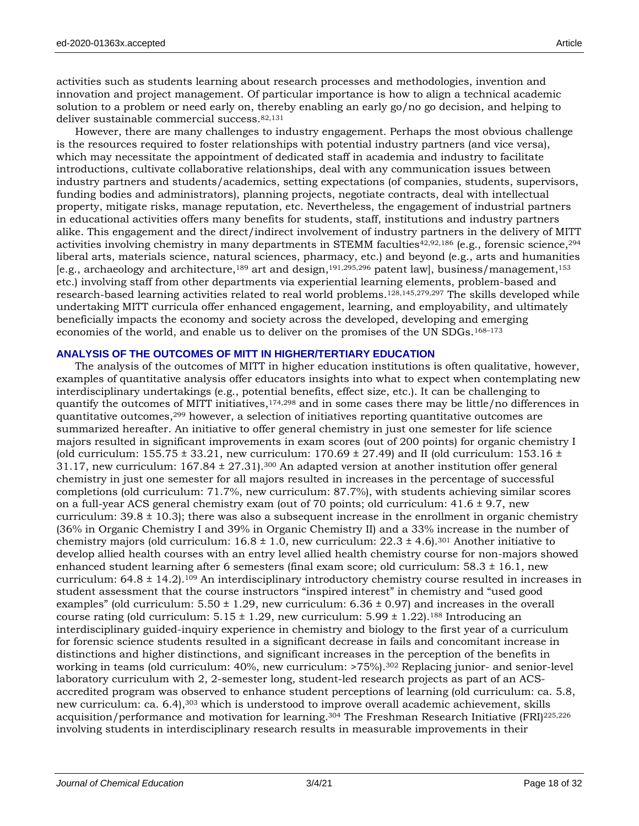activities such as students learning about research processes and methodologies, invention and innovation and project management. Of particular importance is how to align a technical academic solution to a problem or need early on, thereby enabling an early go/no go decision, and helping to deliver sustainable commercial success.82,131

However, there are many challenges to industry engagement. Perhaps the most obvious challenge is the resources required to foster relationships with potential industry partners (and vice versa), which may necessitate the appointment of dedicated staff in academia and industry to facilitate introductions, cultivate collaborative relationships, deal with any communication issues between industry partners and students/academics, setting expectations (of companies, students, supervisors, funding bodies and administrators), planning projects, negotiate contracts, deal with intellectual property, mitigate risks, manage reputation, etc. Nevertheless, the engagement of industrial partners in educational activities offers many benefits for students, staff, institutions and industry partners alike. This engagement and the direct/indirect involvement of industry partners in the delivery of MITT activities involving chemistry in many departments in STEMM faculties<sup>42,92,186</sup> (e.g., forensic science,  $^{294}$ ) liberal arts, materials science, natural sciences, pharmacy, etc.) and beyond (e.g., arts and humanities [e.g., archaeology and architecture,<sup>189</sup> art and design,191,295,296 patent law], business/management,<sup>153</sup> etc.) involving staff from other departments via experiential learning elements, problem-based and research-based learning activities related to real world problems.128,145,279,297 The skills developed while undertaking MITT curricula offer enhanced engagement, learning, and employability, and ultimately beneficially impacts the economy and society across the developed, developing and emerging economies of the world, and enable us to deliver on the promises of the UN SDGs.168–<sup>173</sup>

# **ANALYSIS OF THE OUTCOMES OF MITT IN HIGHER/TERTIARY EDUCATION**

The analysis of the outcomes of MITT in higher education institutions is often qualitative, however, examples of quantitative analysis offer educators insights into what to expect when contemplating new interdisciplinary undertakings (e.g., potential benefits, effect size, etc.). It can be challenging to quantify the outcomes of MITT initiatives,  $174,298$  and in some cases there may be little/no differences in quantitative outcomes,<sup>299</sup> however, a selection of initiatives reporting quantitative outcomes are summarized hereafter. An initiative to offer general chemistry in just one semester for life science majors resulted in significant improvements in exam scores (out of 200 points) for organic chemistry I (old curriculum:  $155.75 \pm 33.21$ , new curriculum:  $170.69 \pm 27.49$ ) and II (old curriculum:  $153.16 \pm 10.00$ 31.17, new curriculum:  $167.84 \pm 27.31$ ,  $300$  An adapted version at another institution offer general chemistry in just one semester for all majors resulted in increases in the percentage of successful completions (old curriculum: 71.7%, new curriculum: 87.7%), with students achieving similar scores on a full-year ACS general chemistry exam (out of 70 points; old curriculum:  $41.6 \pm 9.7$ , new curriculum:  $39.8 \pm 10.3$ ; there was also a subsequent increase in the enrollment in organic chemistry (36% in Organic Chemistry I and 39% in Organic Chemistry II) and a 33% increase in the number of chemistry majors (old curriculum:  $16.8 \pm 1.0$ , new curriculum:  $22.3 \pm 4.6$ ).<sup>301</sup> Another initiative to develop allied health courses with an entry level allied health chemistry course for non-majors showed enhanced student learning after 6 semesters (final exam score; old curriculum:  $58.3 \pm 16.1$ , new curriculum:  $64.8 \pm 14.2$ ).<sup>109</sup> An interdisciplinary introductory chemistry course resulted in increases in student assessment that the course instructors "inspired interest" in chemistry and "used good examples" (old curriculum:  $5.50 \pm 1.29$ , new curriculum:  $6.36 \pm 0.97$ ) and increases in the overall course rating (old curriculum:  $5.15 \pm 1.29$ , new curriculum:  $5.99 \pm 1.22$ ).<sup>188</sup> Introducing an interdisciplinary guided-inquiry experience in chemistry and biology to the first year of a curriculum for forensic science students resulted in a significant decrease in fails and concomitant increase in distinctions and higher distinctions, and significant increases in the perception of the benefits in working in teams (old curriculum: 40%, new curriculum: >75%).<sup>302</sup> Replacing junior- and senior-level laboratory curriculum with 2, 2-semester long, student-led research projects as part of an ACSaccredited program was observed to enhance student perceptions of learning (old curriculum: ca. 5.8, new curriculum: ca. 6.4), <sup>303</sup> which is understood to improve overall academic achievement, skills acquisition/performance and motivation for learning.<sup>304</sup> The Freshman Research Initiative (FRI)225,226 involving students in interdisciplinary research results in measurable improvements in their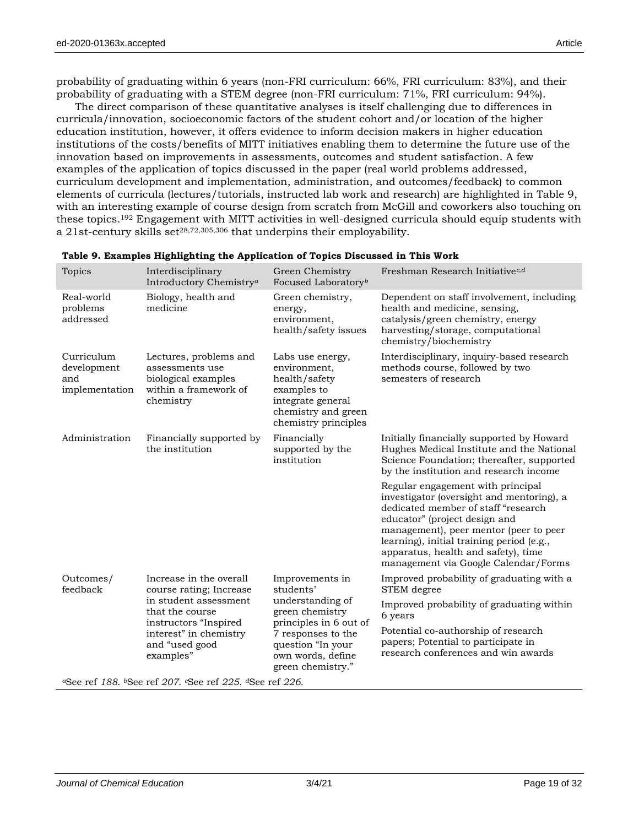probability of graduating within 6 years (non-FRI curriculum: 66%, FRI curriculum: 83%), and their probability of graduating with a STEM degree (non-FRI curriculum: 71%, FRI curriculum: 94%).

The direct comparison of these quantitative analyses is itself challenging due to differences in curricula/innovation, socioeconomic factors of the student cohort and/or location of the higher education institution, however, it offers evidence to inform decision makers in higher education institutions of the costs/benefits of MITT initiatives enabling them to determine the future use of the innovation based on improvements in assessments, outcomes and student satisfaction. A few examples of the application of topics discussed in the paper (real world problems addressed, curriculum development and implementation, administration, and outcomes/feedback) to common elements of curricula (lectures/tutorials, instructed lab work and research) are highlighted in Table 9, with an interesting example of course design from scratch from McGill and coworkers also touching on these topics.<sup>192</sup> Engagement with MITT activities in well-designed curricula should equip students with a 21st-century skills set<sup>28,72,305,306</sup> that underpins their employability.

| <b>Topics</b>                                      | Interdisciplinary<br>Introductory Chemistry <sup>a</sup>                                                                                                                         | Green Chemistry<br>Focused Laboratory <sup>b</sup>                                                                                                                                 | Freshman Research Initiative <sup>c,d</sup>                                                                                                                                                                                                                                                                                  |
|----------------------------------------------------|----------------------------------------------------------------------------------------------------------------------------------------------------------------------------------|------------------------------------------------------------------------------------------------------------------------------------------------------------------------------------|------------------------------------------------------------------------------------------------------------------------------------------------------------------------------------------------------------------------------------------------------------------------------------------------------------------------------|
| Real-world<br>problems<br>addressed                | Biology, health and<br>medicine                                                                                                                                                  | Green chemistry,<br>energy,<br>environment,<br>health/safety issues                                                                                                                | Dependent on staff involvement, including<br>health and medicine, sensing,<br>catalysis/green chemistry, energy<br>harvesting/storage, computational<br>chemistry/biochemistry                                                                                                                                               |
| Curriculum<br>development<br>and<br>implementation | Lectures, problems and<br>assessments use<br>biological examples<br>within a framework of<br>chemistry                                                                           | Labs use energy,<br>environment,<br>health/safety<br>examples to<br>integrate general<br>chemistry and green<br>chemistry principles                                               | Interdisciplinary, inquiry-based research<br>methods course, followed by two<br>semesters of research                                                                                                                                                                                                                        |
| Administration                                     | Financially supported by<br>the institution                                                                                                                                      | Financially<br>supported by the<br>institution                                                                                                                                     | Initially financially supported by Howard<br>Hughes Medical Institute and the National<br>Science Foundation; thereafter, supported<br>by the institution and research income                                                                                                                                                |
|                                                    |                                                                                                                                                                                  |                                                                                                                                                                                    | Regular engagement with principal<br>investigator (oversight and mentoring), a<br>dedicated member of staff "research<br>educator" (project design and<br>management), peer mentor (peer to peer<br>learning), initial training period (e.g.,<br>apparatus, health and safety), time<br>management via Google Calendar/Forms |
| Outcomes/<br>feedback                              | Increase in the overall<br>course rating; Increase<br>in student assessment<br>that the course<br>instructors "Inspired<br>interest" in chemistry<br>and "used good<br>examples" | Improvements in<br>students'<br>understanding of<br>green chemistry<br>principles in 6 out of<br>7 responses to the<br>question "In your<br>own words, define<br>green chemistry." | Improved probability of graduating with a<br>STEM degree                                                                                                                                                                                                                                                                     |
|                                                    |                                                                                                                                                                                  |                                                                                                                                                                                    | Improved probability of graduating within<br>6 years                                                                                                                                                                                                                                                                         |
|                                                    |                                                                                                                                                                                  |                                                                                                                                                                                    | Potential co-authorship of research<br>papers; Potential to participate in<br>research conferences and win awards                                                                                                                                                                                                            |

#### **Table 9. Examples Highlighting the Application of Topics Discussed in This Work**

*<sup>a</sup>*See ref *188*. *<sup>b</sup>*See ref *207*. *<sup>c</sup>*See ref *225*. *d*See ref *226*.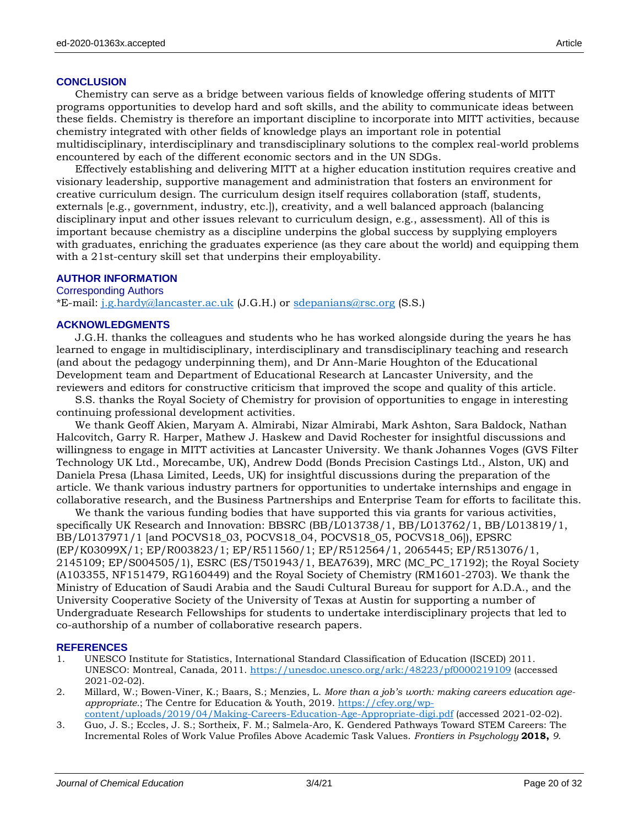#### **CONCLUSION**

Chemistry can serve as a bridge between various fields of knowledge offering students of MITT programs opportunities to develop hard and soft skills, and the ability to communicate ideas between these fields. Chemistry is therefore an important discipline to incorporate into MITT activities, because chemistry integrated with other fields of knowledge plays an important role in potential multidisciplinary, interdisciplinary and transdisciplinary solutions to the complex real-world problems encountered by each of the different economic sectors and in the UN SDGs.

Effectively establishing and delivering MITT at a higher education institution requires creative and visionary leadership, supportive management and administration that fosters an environment for creative curriculum design. The curriculum design itself requires collaboration (staff, students, externals [e.g., government, industry, etc.]), creativity, and a well balanced approach (balancing disciplinary input and other issues relevant to curriculum design, e.g., assessment). All of this is important because chemistry as a discipline underpins the global success by supplying employers with graduates, enriching the graduates experience (as they care about the world) and equipping them with a 21st-century skill set that underpins their employability.

#### **AUTHOR INFORMATION**

# Corresponding Authors

\*E-mail: [j.g.hardy@lancaster.ac.uk](mailto:j.g.hardy@lancaster.ac.uk) (J.G.H.) or [sdepanians@rsc.org](mailto:sdepanians@rsc.org) (S.S.)

#### **ACKNOWLEDGMENTS**

J.G.H. thanks the colleagues and students who he has worked alongside during the years he has learned to engage in multidisciplinary, interdisciplinary and transdisciplinary teaching and research (and about the pedagogy underpinning them), and Dr Ann-Marie Houghton of the Educational Development team and Department of Educational Research at Lancaster University, and the reviewers and editors for constructive criticism that improved the scope and quality of this article.

S.S. thanks the Royal Society of Chemistry for provision of opportunities to engage in interesting continuing professional development activities.

We thank Geoff Akien, Maryam A. Almirabi, Nizar Almirabi, Mark Ashton, Sara Baldock, Nathan Halcovitch, Garry R. Harper, Mathew J. Haskew and David Rochester for insightful discussions and willingness to engage in MITT activities at Lancaster University. We thank Johannes Voges (GVS Filter Technology UK Ltd., Morecambe, UK), Andrew Dodd (Bonds Precision Castings Ltd., Alston, UK) and Daniela Presa (Lhasa Limited, Leeds, UK) for insightful discussions during the preparation of the article. We thank various industry partners for opportunities to undertake internships and engage in collaborative research, and the Business Partnerships and Enterprise Team for efforts to facilitate this.

We thank the various funding bodies that have supported this via grants for various activities, specifically UK Research and Innovation: BBSRC (BB/L013738/1, BB/L013762/1, BB/L013819/1, BB/L0137971/1 [and POCVS18\_03, POCVS18\_04, POCVS18\_05, POCVS18\_06]), EPSRC (EP/K03099X/1; EP/R003823/1; EP/R511560/1; EP/R512564/1, 2065445; EP/R513076/1, 2145109; EP/S004505/1), ESRC (ES/T501943/1, BEA7639), MRC (MC\_PC\_17192); the Royal Society (A103355, NF151479, RG160449) and the Royal Society of Chemistry (RM1601-2703). We thank the Ministry of Education of Saudi Arabia and the Saudi Cultural Bureau for support for A.D.A., and the University Cooperative Society of the University of Texas at Austin for supporting a number of Undergraduate Research Fellowships for students to undertake interdisciplinary projects that led to co-authorship of a number of collaborative research papers.

#### **REFERENCES**

- 1. UNESCO Institute for Statistics, International Standard Classification of Education (ISCED) 2011. UNESCO: Montreal, Canada, 2011. <https://unesdoc.unesco.org/ark:/48223/pf0000219109> (accessed 2021-02-02).
- 2. Millard, W.; Bowen-Viner, K.; Baars, S.; Menzies, L. *More than a job's worth: making careers education ageappropriate.*; The Centre for Education & Youth, 2019. [https://cfey.org/wp-](https://cfey.org/wp-content/uploads/2019/04/Making-Careers-Education-Age-Appropriate-digi.pdf)
- [content/uploads/2019/04/Making-Careers-Education-Age-Appropriate-digi.pdf](https://cfey.org/wp-content/uploads/2019/04/Making-Careers-Education-Age-Appropriate-digi.pdf) (accessed 2021-02-02). 3. Guo, J. S.; Eccles, J. S.; Sortheix, F. M.; Salmela-Aro, K. Gendered Pathways Toward STEM Careers: The Incremental Roles of Work Value Profiles Above Academic Task Values. *Frontiers in Psychology* **2018,** *9*.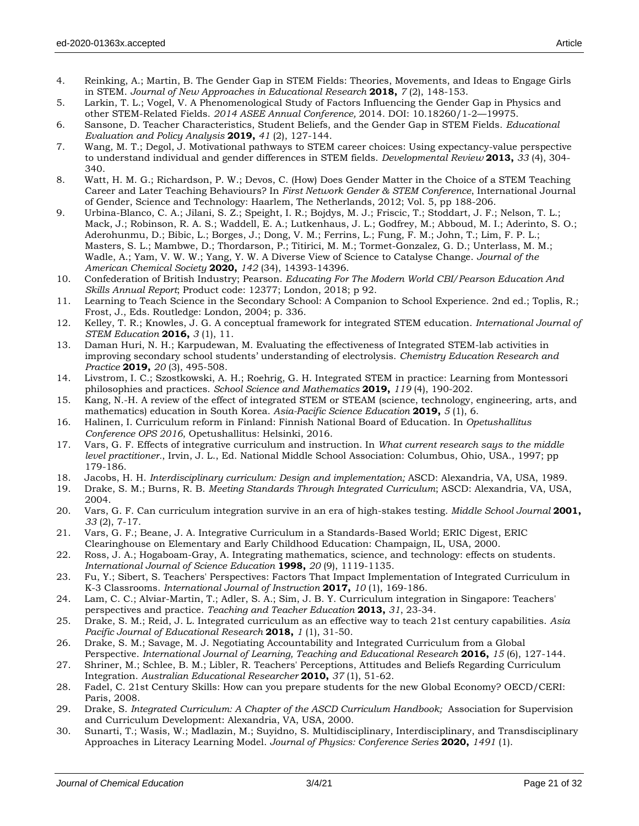- 5. Larkin, T. L.; Vogel, V. A Phenomenological Study of Factors Influencing the Gender Gap in Physics and other STEM-Related Fields. *2014 ASEE Annual Conference,* 2014. DOI: 10.18260/1-2—19975.
- 6. Sansone, D. Teacher Characteristics, Student Beliefs, and the Gender Gap in STEM Fields. *Educational Evaluation and Policy Analysis* **2019,** *41* (2), 127-144.
- 7. Wang, M. T.; Degol, J. Motivational pathways to STEM career choices: Using expectancy-value perspective to understand individual and gender differences in STEM fields. *Developmental Review* **2013,** *33* (4), 304- 340.
- 8. Watt, H. M. G.; Richardson, P. W.; Devos, C. (How) Does Gender Matter in the Choice of a STEM Teaching Career and Later Teaching Behaviours? In *First Network Gender & STEM Conference*, International Journal of Gender, Science and Technology: Haarlem, The Netherlands, 2012; Vol. 5, pp 188-206.
- 9. Urbina-Blanco, C. A.; Jilani, S. Z.; Speight, I. R.; Bojdys, M. J.; Friscic, T.; Stoddart, J. F.; Nelson, T. L.; Mack, J.; Robinson, R. A. S.; Waddell, E. A.; Lutkenhaus, J. L.; Godfrey, M.; Abboud, M. I.; Aderinto, S. O.; Aderohunmu, D.; Bibic, L.; Borges, J.; Dong, V. M.; Ferrins, L.; Fung, F. M.; John, T.; Lim, F. P. L.; Masters, S. L.; Mambwe, D.; Thordarson, P.; Titirici, M. M.; Tormet-Gonzalez, G. D.; Unterlass, M. M.; Wadle, A.; Yam, V. W. W.; Yang, Y. W. A Diverse View of Science to Catalyse Change. *Journal of the American Chemical Society* **2020,** *142* (34), 14393-14396.
- 10. Confederation of British Industry; Pearson. *Educating For The Modern World CBI/Pearson Education And Skills Annual Report*; Product code: 12377; London, 2018; p 92.
- 11. Learning to Teach Science in the Secondary School: A Companion to School Experience. 2nd ed.; Toplis, R.; Frost, J., Eds. Routledge: London, 2004; p. 336.
- 12. Kelley, T. R.; Knowles, J. G. A conceptual framework for integrated STEM education. *International Journal of STEM Education* **2016,** *3* (1), 11.
- 13. Daman Huri, N. H.; Karpudewan, M. Evaluating the effectiveness of Integrated STEM-lab activities in improving secondary school students' understanding of electrolysis. *Chemistry Education Research and Practice* **2019,** *20* (3), 495-508.
- 14. Livstrom, I. C.; Szostkowski, A. H.; Roehrig, G. H. Integrated STEM in practice: Learning from Montessori philosophies and practices. *School Science and Mathematics* **2019,** *119* (4), 190-202.
- 15. Kang, N.-H. A review of the effect of integrated STEM or STEAM (science, technology, engineering, arts, and mathematics) education in South Korea. *Asia-Pacific Science Education* **2019,** *5* (1), 6.
- 16. Halinen, I. Curriculum reform in Finland: Finnish National Board of Education. In *Opetushallitus Conference OPS 2016*, Opetushallitus: Helsinki, 2016.
- 17. Vars, G. F. Effects of integrative curriculum and instruction. In *What current research says to the middle level practitioner.*, Irvin, J. L., Ed. National Middle School Association: Columbus, Ohio, USA., 1997; pp 179-186.
- 18. Jacobs, H. H. *Interdisciplinary curriculum: Design and implementation;* ASCD: Alexandria, VA, USA, 1989.
- 19. Drake, S. M.; Burns, R. B. *Meeting Standards Through Integrated Curriculum*; ASCD: Alexandria, VA, USA, 2004.
- 20. Vars, G. F. Can curriculum integration survive in an era of high-stakes testing. *Middle School Journal* **2001,** *33* (2), 7-17.
- 21. Vars, G. F.; Beane, J. A. Integrative Curriculum in a Standards-Based World; ERIC Digest, ERIC Clearinghouse on Elementary and Early Childhood Education: Champaign, IL, USA, 2000.
- 22. Ross, J. A.; Hogaboam-Gray, A. Integrating mathematics, science, and technology: effects on students. *International Journal of Science Education* **1998,** *20* (9), 1119-1135.
- 23. Fu, Y.; Sibert, S. Teachers' Perspectives: Factors That Impact Implementation of Integrated Curriculum in K-3 Classrooms. *International Journal of Instruction* **2017,** *10* (1), 169-186.
- 24. Lam, C. C.; Alviar-Martin, T.; Adler, S. A.; Sim, J. B. Y. Curriculum integration in Singapore: Teachers' perspectives and practice. *Teaching and Teacher Education* **2013,** *31*, 23-34.
- 25. Drake, S. M.; Reid, J. L. Integrated curriculum as an effective way to teach 21st century capabilities. *Asia Pacific Journal of Educational Research* **2018,** *1* (1), 31-50.
- 26. Drake, S. M.; Savage, M. J. Negotiating Accountability and Integrated Curriculum from a Global
- Perspective. *International Journal of Learning, Teaching and Educational Research* **2016,** *15* (6), 127-144.
- 27. Shriner, M.; Schlee, B. M.; Libler, R. Teachers' Perceptions, Attitudes and Beliefs Regarding Curriculum Integration. *Australian Educational Researcher* **2010,** *37* (1), 51-62.
- 28. Fadel, C. 21st Century Skills: How can you prepare students for the new Global Economy? OECD/CERI: Paris, 2008.
- 29. Drake, S. *Integrated Curriculum: A Chapter of the ASCD Curriculum Handbook;* Association for Supervision and Curriculum Development: Alexandria, VA, USA, 2000.
- 30. Sunarti, T.; Wasis, W.; Madlazin, M.; Suyidno, S. Multidisciplinary, Interdisciplinary, and Transdisciplinary Approaches in Literacy Learning Model. *Journal of Physics: Conference Series* **2020,** *1491* (1).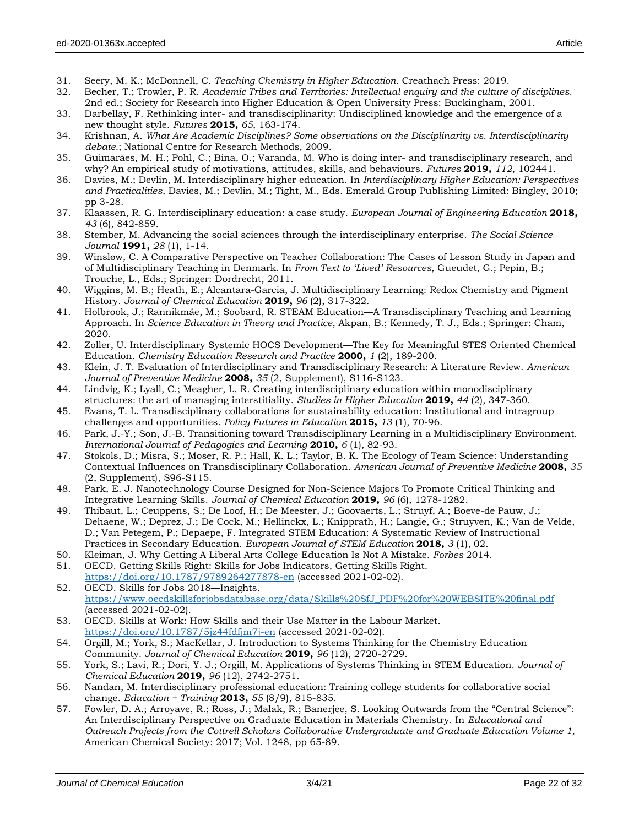- 31. Seery, M. K.; McDonnell, C. *Teaching Chemistry in Higher Education.* Creathach Press: 2019.
- 32. Becher, T.; Trowler, P. R. *Academic Tribes and Territories: Intellectual enquiry and the culture of disciplines.* 2nd ed.; Society for Research into Higher Education & Open University Press: Buckingham, 2001.
- 33. Darbellay, F. Rethinking inter- and transdisciplinarity: Undisciplined knowledge and the emergence of a new thought style. *Futures* **2015,** *65*, 163-174.
- 34. Krishnan, A. *What Are Academic Disciplines? Some observations on the Disciplinarity vs. Interdisciplinarity debate.*; National Centre for Research Methods, 2009.
- 35. Guimarães, M. H.; Pohl, C.; Bina, O.; Varanda, M. Who is doing inter- and transdisciplinary research, and why? An empirical study of motivations, attitudes, skills, and behaviours. *Futures* **2019,** *112*, 102441.
- 36. Davies, M.; Devlin, M. Interdisciplinary higher education. In *Interdisciplinary Higher Education: Perspectives and Practicalities*, Davies, M.; Devlin, M.; Tight, M., Eds. Emerald Group Publishing Limited: Bingley, 2010; pp 3-28.
- 37. Klaassen, R. G. Interdisciplinary education: a case study. *European Journal of Engineering Education* **2018,** *43* (6), 842-859.
- 38. Stember, M. Advancing the social sciences through the interdisciplinary enterprise. *The Social Science Journal* **1991,** *28* (1), 1-14.
- 39. Winsløw, C. A Comparative Perspective on Teacher Collaboration: The Cases of Lesson Study in Japan and of Multidisciplinary Teaching in Denmark. In *From Text to 'Lived' Resources*, Gueudet, G.; Pepin, B.; Trouche, L., Eds.; Springer: Dordrecht, 2011.
- 40. Wiggins, M. B.; Heath, E.; Alcantara-Garcia, J. Multidisciplinary Learning: Redox Chemistry and Pigment History. *Journal of Chemical Education* **2019,** *96* (2), 317-322.
- 41. Holbrook, J.; Rannikmäe, M.; Soobard, R. STEAM Education—A Transdisciplinary Teaching and Learning Approach. In *Science Education in Theory and Practice*, Akpan, B.; Kennedy, T. J., Eds.; Springer: Cham, 2020.
- 42. Zoller, U. Interdisciplinary Systemic HOCS Development—The Key for Meaningful STES Oriented Chemical Education. *Chemistry Education Research and Practice* **2000,** *1* (2), 189-200.
- 43. Klein, J. T. Evaluation of Interdisciplinary and Transdisciplinary Research: A Literature Review. *American Journal of Preventive Medicine* **2008,** *35* (2, Supplement), S116-S123.
- 44. Lindvig, K.; Lyall, C.; Meagher, L. R. Creating interdisciplinary education within monodisciplinary structures: the art of managing interstitiality. *Studies in Higher Education* **2019,** *44* (2), 347-360.
- 45. Evans, T. L. Transdisciplinary collaborations for sustainability education: Institutional and intragroup challenges and opportunities. *Policy Futures in Education* **2015,** *13* (1), 70-96.
- 46. Park, J.-Y.; Son, J.-B. Transitioning toward Transdisciplinary Learning in a Multidisciplinary Environment. *International Journal of Pedagogies and Learning* **2010,** *6* (1), 82-93.
- 47. Stokols, D.; Misra, S.; Moser, R. P.; Hall, K. L.; Taylor, B. K. The Ecology of Team Science: Understanding Contextual Influences on Transdisciplinary Collaboration. *American Journal of Preventive Medicine* **2008,** *35* (2, Supplement), S96-S115.
- 48. Park, E. J. Nanotechnology Course Designed for Non-Science Majors To Promote Critical Thinking and Integrative Learning Skills. *Journal of Chemical Education* **2019,** *96* (6), 1278-1282.
- 49. Thibaut, L.; Ceuppens, S.; De Loof, H.; De Meester, J.; Goovaerts, L.; Struyf, A.; Boeve-de Pauw, J.; Dehaene, W.; Deprez, J.; De Cock, M.; Hellinckx, L.; Knipprath, H.; Langie, G.; Struyven, K.; Van de Velde, D.; Van Petegem, P.; Depaepe, F. Integrated STEM Education: A Systematic Review of Instructional Practices in Secondary Education. *European Journal of STEM Education* **2018,** *3* (1), 02.
- 50. Kleiman, J. Why Getting A Liberal Arts College Education Is Not A Mistake. *Forbes* 2014.
- 51. OECD. Getting Skills Right: Skills for Jobs Indicators, Getting Skills Right. <https://doi.org/10.1787/9789264277878-en> (accessed 2021-02-02).
- 52. OECD. Skills for Jobs 2018—Insights. [https://www.oecdskillsforjobsdatabase.org/data/Skills%20SfJ\\_PDF%20for%20WEBSITE%20final.pdf](https://www.oecdskillsforjobsdatabase.org/data/Skills%20SfJ_PDF%20for%20WEBSITE%20final.pdf) (accessed 2021-02-02).
- 53. OECD. Skills at Work: How Skills and their Use Matter in the Labour Market. <https://doi.org/10.1787/5jz44fdfjm7j-en> (accessed 2021-02-02).
- 54. Orgill, M.; York, S.; MacKellar, J. Introduction to Systems Thinking for the Chemistry Education Community. *Journal of Chemical Education* **2019,** *96* (12), 2720-2729.
- 55. York, S.; Lavi, R.; Dori, Y. J.; Orgill, M. Applications of Systems Thinking in STEM Education. *Journal of Chemical Education* **2019,** *96* (12), 2742-2751.
- 56. Nandan, M. Interdisciplinary professional education: Training college students for collaborative social change. *Education + Training* **2013,** *55* (8/9), 815-835.
- 57. Fowler, D. A.; Arroyave, R.; Ross, J.; Malak, R.; Banerjee, S. Looking Outwards from the "Central Science": An Interdisciplinary Perspective on Graduate Education in Materials Chemistry. In *Educational and Outreach Projects from the Cottrell Scholars Collaborative Undergraduate and Graduate Education Volume 1*, American Chemical Society: 2017; Vol. 1248, pp 65-89.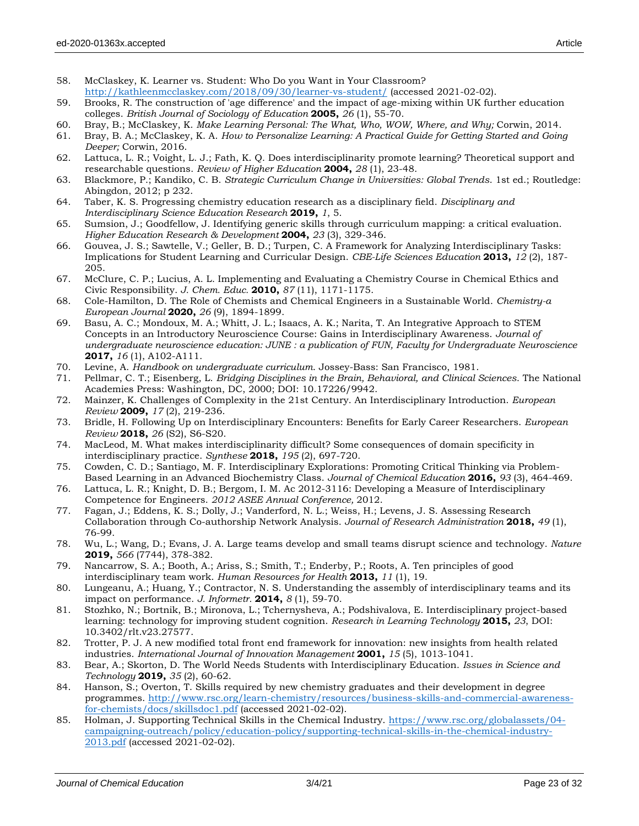- 58. McClaskey, K. Learner vs. Student: Who Do you Want in Your Classroom? <http://kathleenmcclaskey.com/2018/09/30/learner-vs-student/> (accessed 2021-02-02).
- 59. Brooks, R. The construction of 'age difference' and the impact of age-mixing within UK further education colleges. *British Journal of Sociology of Education* **2005,** *26* (1), 55-70.
- 60. Bray, B.; McClaskey, K. *Make Learning Personal: The What, Who, WOW, Where, and Why;* Corwin, 2014.
- 61. Bray, B. A.; McClaskey, K. A. *How to Personalize Learning: A Practical Guide for Getting Started and Going Deeper;* Corwin, 2016.
- 62. Lattuca, L. R.; Voight, L. J.; Fath, K. Q. Does interdisciplinarity promote learning? Theoretical support and researchable questions. *Review of Higher Education* **2004,** *28* (1), 23-48.
- 63. Blackmore, P.; Kandiko, C. B. *Strategic Curriculum Change in Universities: Global Trends*. 1st ed.; Routledge: Abingdon, 2012; p 232.
- 64. Taber, K. S. Progressing chemistry education research as a disciplinary field. *Disciplinary and Interdisciplinary Science Education Research* **2019,** *1*, 5.
- 65. Sumsion, J.; Goodfellow, J. Identifying generic skills through curriculum mapping: a critical evaluation. *Higher Education Research & Development* **2004,** *23* (3), 329-346.
- 66. Gouvea, J. S.; Sawtelle, V.; Geller, B. D.; Turpen, C. A Framework for Analyzing Interdisciplinary Tasks: Implications for Student Learning and Curricular Design. *CBE-Life Sciences Education* **2013,** *12* (2), 187- 205.
- 67. McClure, C. P.; Lucius, A. L. Implementing and Evaluating a Chemistry Course in Chemical Ethics and Civic Responsibility. *J. Chem. Educ.* **2010,** *87* (11), 1171-1175.
- 68. Cole-Hamilton, D. The Role of Chemists and Chemical Engineers in a Sustainable World. *Chemistry-a European Journal* **2020,** *26* (9), 1894-1899.
- 69. Basu, A. C.; Mondoux, M. A.; Whitt, J. L.; Isaacs, A. K.; Narita, T. An Integrative Approach to STEM Concepts in an Introductory Neuroscience Course: Gains in Interdisciplinary Awareness. *Journal of undergraduate neuroscience education: JUNE : a publication of FUN, Faculty for Undergraduate Neuroscience*  **2017,** *16* (1), A102-A111.
- 70. Levine, A. *Handbook on undergraduate curriculum*. Jossey-Bass: San Francisco, 1981.
- 71. Pellmar, C. T.; Eisenberg, L. *Bridging Disciplines in the Brain, Behavioral, and Clinical Sciences*. The National Academies Press: Washington, DC, 2000; DOI: 10.17226/9942.
- 72. Mainzer, K. Challenges of Complexity in the 21st Century. An Interdisciplinary Introduction. *European Review* **2009,** *17* (2), 219-236.
- 73. Bridle, H. Following Up on Interdisciplinary Encounters: Benefits for Early Career Researchers. *European Review* **2018,** *26* (S2), S6-S20.
- 74. MacLeod, M. What makes interdisciplinarity difficult? Some consequences of domain specificity in interdisciplinary practice. *Synthese* **2018,** *195* (2), 697-720.
- 75. Cowden, C. D.; Santiago, M. F. Interdisciplinary Explorations: Promoting Critical Thinking via Problem-Based Learning in an Advanced Biochemistry Class. *Journal of Chemical Education* **2016,** *93* (3), 464-469.
- 76. Lattuca, L. R.; Knight, D. B.; Bergom, I. M. Ac 2012-3116: Developing a Measure of Interdisciplinary Competence for Engineers. *2012 ASEE Annual Conference,* 2012.
- 77. Fagan, J.; Eddens, K. S.; Dolly, J.; Vanderford, N. L.; Weiss, H.; Levens, J. S. Assessing Research Collaboration through Co-authorship Network Analysis. *Journal of Research Administration* **2018,** *49* (1), 76-99.
- 78. Wu, L.; Wang, D.; Evans, J. A. Large teams develop and small teams disrupt science and technology. *Nature*  **2019,** *566* (7744), 378-382.
- 79. Nancarrow, S. A.; Booth, A.; Ariss, S.; Smith, T.; Enderby, P.; Roots, A. Ten principles of good interdisciplinary team work. *Human Resources for Health* **2013,** *11* (1), 19.
- 80. Lungeanu, A.; Huang, Y.; Contractor, N. S. Understanding the assembly of interdisciplinary teams and its impact on performance. *J. Informetr.* **2014,** *8* (1), 59-70.
- 81. Stozhko, N.; Bortnik, B.; Mironova, L.; Tchernysheva, A.; Podshivalova, E. Interdisciplinary project-based learning: technology for improving student cognition. *Research in Learning Technology* **2015,** *23*, DOI: 10.3402/rlt.v23.27577.
- 82. Trotter, P. J. A new modified total front end framework for innovation: new insights from health related industries. *International Journal of Innovation Management* **2001,** *15* (5), 1013-1041.
- 83. Bear, A.; Skorton, D. The World Needs Students with Interdisciplinary Education. *Issues in Science and Technology* **2019,** *35* (2), 60-62.
- 84. Hanson, S.; Overton, T. Skills required by new chemistry graduates and their development in degree programmes. [http://www.rsc.org/learn-chemistry/resources/business-skills-and-commercial-awareness](http://www.rsc.org/learn-chemistry/resources/business-skills-and-commercial-awareness-for-chemists/docs/skillsdoc1.pdf)[for-chemists/docs/skillsdoc1.pdf](http://www.rsc.org/learn-chemistry/resources/business-skills-and-commercial-awareness-for-chemists/docs/skillsdoc1.pdf) (accessed 2021-02-02).
- 85. Holman, J. Supporting Technical Skills in the Chemical Industry. [https://www.rsc.org/globalassets/04](https://www.rsc.org/globalassets/04-campaigning-outreach/policy/education-policy/supporting-technical-skills-in-the-chemical-industry-2013.pdf) [campaigning-outreach/policy/education-policy/supporting-technical-skills-in-the-chemical-industry-](https://www.rsc.org/globalassets/04-campaigning-outreach/policy/education-policy/supporting-technical-skills-in-the-chemical-industry-2013.pdf)[2013.pdf](https://www.rsc.org/globalassets/04-campaigning-outreach/policy/education-policy/supporting-technical-skills-in-the-chemical-industry-2013.pdf) (accessed 2021-02-02).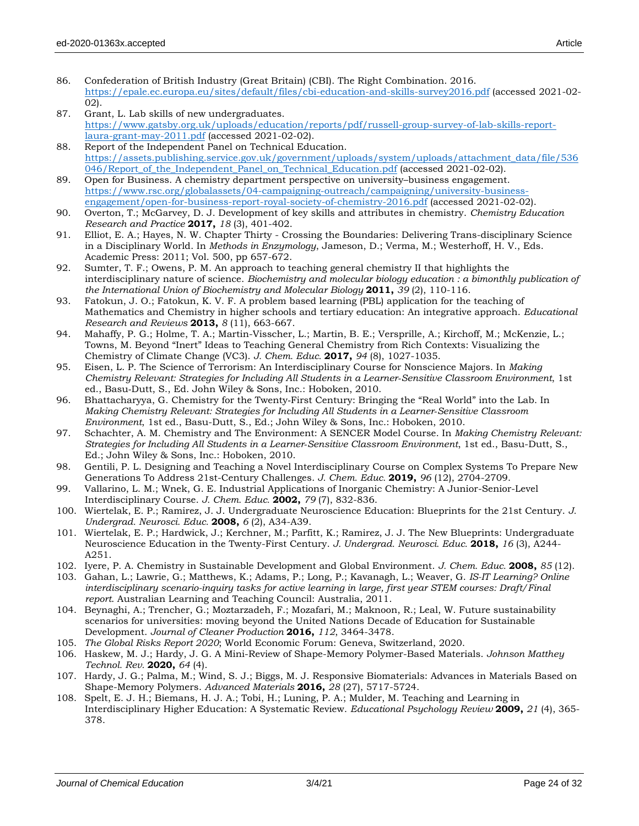- 86. Confederation of British Industry (Great Britain) (CBI). The Right Combination. 2016. <https://epale.ec.europa.eu/sites/default/files/cbi-education-and-skills-survey2016.pdf> (accessed 2021-02- 02).
- 87. Grant, L. Lab skills of new undergraduates. [https://www.gatsby.org.uk/uploads/education/reports/pdf/russell-group-survey-of-lab-skills-report](https://www.gatsby.org.uk/uploads/education/reports/pdf/russell-group-survey-of-lab-skills-report-laura-grant-may-2011.pdf)[laura-grant-may-2011.pdf](https://www.gatsby.org.uk/uploads/education/reports/pdf/russell-group-survey-of-lab-skills-report-laura-grant-may-2011.pdf) (accessed 2021-02-02).
- 88. Report of the Independent Panel on Technical Education. [https://assets.publishing.service.gov.uk/government/uploads/system/uploads/attachment\\_data/file/536](https://assets.publishing.service.gov.uk/government/uploads/system/uploads/attachment_data/file/536046/Report_of_the_Independent_Panel_on_Technical_Education.pdf) [046/Report\\_of\\_the\\_Independent\\_Panel\\_on\\_Technical\\_Education.pdf](https://assets.publishing.service.gov.uk/government/uploads/system/uploads/attachment_data/file/536046/Report_of_the_Independent_Panel_on_Technical_Education.pdf) (accessed 2021-02-02).
- 89. Open for Business. A chemistry department perspective on university–business engagement. [https://www.rsc.org/globalassets/04-campaigning-outreach/campaigning/university-business](https://www.rsc.org/globalassets/04-campaigning-outreach/campaigning/university-business-engagement/open-for-business-report-royal-society-of-chemistry-2016.pdf)[engagement/open-for-business-report-royal-society-of-chemistry-2016.pdf](https://www.rsc.org/globalassets/04-campaigning-outreach/campaigning/university-business-engagement/open-for-business-report-royal-society-of-chemistry-2016.pdf) (accessed 2021-02-02).
- 90. Overton, T.; McGarvey, D. J. Development of key skills and attributes in chemistry. *Chemistry Education Research and Practice* **2017,** *18* (3), 401-402.
- 91. Elliot, E. A.; Hayes, N. W. Chapter Thirty Crossing the Boundaries: Delivering Trans-disciplinary Science in a Disciplinary World. In *Methods in Enzymology*, Jameson, D.; Verma, M.; Westerhoff, H. V., Eds. Academic Press: 2011; Vol. 500, pp 657-672.
- 92. Sumter, T. F.; Owens, P. M. An approach to teaching general chemistry II that highlights the interdisciplinary nature of science. *Biochemistry and molecular biology education : a bimonthly publication of the International Union of Biochemistry and Molecular Biology* **2011,** *39* (2), 110-116.
- 93. Fatokun, J. O.; Fatokun, K. V. F. A problem based learning (PBL) application for the teaching of Mathematics and Chemistry in higher schools and tertiary education: An integrative approach. *Educational Research and Reviews* **2013,** *8* (11), 663-667.
- 94. Mahaffy, P. G.; Holme, T. A.; Martin-Visscher, L.; Martin, B. E.; Versprille, A.; Kirchoff, M.; McKenzie, L.; Towns, M. Beyond "Inert" Ideas to Teaching General Chemistry from Rich Contexts: Visualizing the Chemistry of Climate Change (VC3). *J. Chem. Educ.* **2017,** *94* (8), 1027-1035.
- 95. Eisen, L. P. The Science of Terrorism: An Interdisciplinary Course for Nonscience Majors. In *Making Chemistry Relevant: Strategies for Including All Students in a Learner‐Sensitive Classroom Environment*, 1st ed., Basu‐Dutt, S., Ed. John Wiley & Sons, Inc.: Hoboken, 2010.
- 96. Bhattacharyya, G. Chemistry for the Twenty‐First Century: Bringing the "Real World" into the Lab. In *Making Chemistry Relevant: Strategies for Including All Students in a Learner‐Sensitive Classroom Environment*, 1st ed., Basu-Dutt, S., Ed.; John Wiley & Sons, Inc.: Hoboken, 2010.
- 97. Schachter, A. M. Chemistry and The Environment: A SENCER Model Course. In *Making Chemistry Relevant: Strategies for Including All Students in a Learner‐Sensitive Classroom Environment*, 1st ed., Basu-Dutt, S., Ed.; John Wiley & Sons, Inc.: Hoboken, 2010.
- 98. Gentili, P. L. Designing and Teaching a Novel Interdisciplinary Course on Complex Systems To Prepare New Generations To Address 21st-Century Challenges. *J. Chem. Educ.* **2019,** *96* (12), 2704-2709.
- 99. Vallarino, L. M.; Wnek, G. E. Industrial Applications of Inorganic Chemistry: A Junior-Senior-Level Interdisciplinary Course. *J. Chem. Educ.* **2002,** *79* (7), 832-836.
- 100. Wiertelak, E. P.; Ramirez, J. J. Undergraduate Neuroscience Education: Blueprints for the 21st Century. *J. Undergrad. Neurosci. Educ.* **2008,** *6* (2), A34-A39.
- 101. Wiertelak, E. P.; Hardwick, J.; Kerchner, M.; Parfitt, K.; Ramirez, J. J. The New Blueprints: Undergraduate Neuroscience Education in the Twenty-First Century. *J. Undergrad. Neurosci. Educ.* **2018,** *16* (3), A244- A251.
- 102. Iyere, P. A. Chemistry in Sustainable Development and Global Environment. *J. Chem. Educ.* **2008,** *85* (12).
- 103. Gahan, L.; Lawrie, G.; Matthews, K.; Adams, P.; Long, P.; Kavanagh, L.; Weaver, G. *IS-IT Learning? Online interdisciplinary scenario-inquiry tasks for active learning in large, first year STEM courses: Draft/Final report*. Australian Learning and Teaching Council: Australia, 2011.
- 104. Beynaghi, A.; Trencher, G.; Moztarzadeh, F.; Mozafari, M.; Maknoon, R.; Leal, W. Future sustainability scenarios for universities: moving beyond the United Nations Decade of Education for Sustainable Development. *Journal of Cleaner Production* **2016,** *112*, 3464-3478.
- 105. *The Global Risks Report 2020*; World Economic Forum: Geneva, Switzerland, 2020.
- 106. Haskew, M. J.; Hardy, J. G. A Mini-Review of Shape-Memory Polymer-Based Materials. *Johnson Matthey Technol. Rev.* **2020,** *64* (4).
- 107. Hardy, J. G.; Palma, M.; Wind, S. J.; Biggs, M. J. Responsive Biomaterials: Advances in Materials Based on Shape-Memory Polymers. *Advanced Materials* **2016,** *28* (27), 5717-5724.
- 108. Spelt, E. J. H.; Biemans, H. J. A.; Tobi, H.; Luning, P. A.; Mulder, M. Teaching and Learning in Interdisciplinary Higher Education: A Systematic Review. *Educational Psychology Review* **2009,** *21* (4), 365- 378.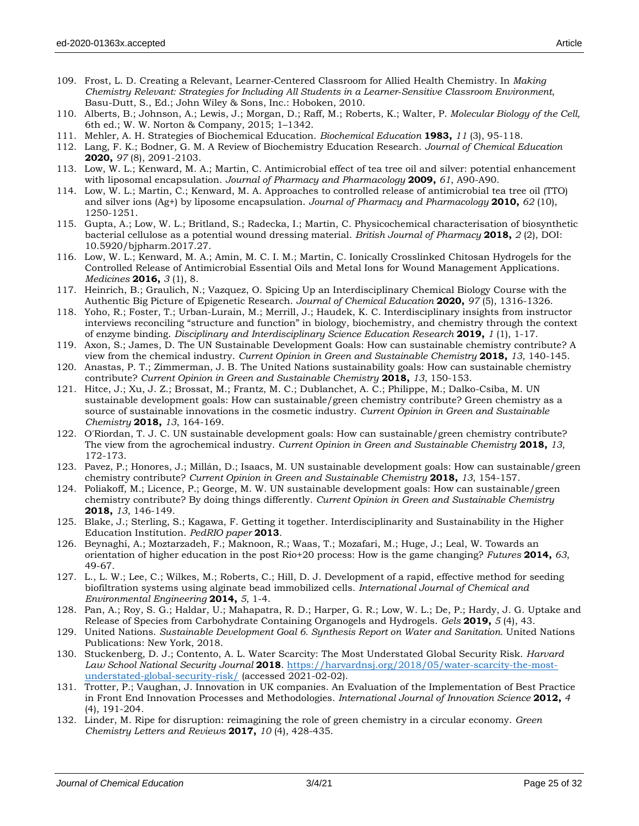- 110. Alberts, B.; Johnson, A.; Lewis, J.; Morgan, D.; Raff, M.; Roberts, K.; Walter, P. *Molecular Biology of the Cell,* 6th ed.; W. W. Norton & Company, 2015; 1–1342.
- 111. Mehler, A. H. Strategies of Biochemical Education. *Biochemical Education* **1983,** *11* (3), 95-118.
- 112. Lang, F. K.; Bodner, G. M. A Review of Biochemistry Education Research. *Journal of Chemical Education*  **2020,** *97* (8), 2091-2103.
- 113. Low, W. L.; Kenward, M. A.; Martin, C. Antimicrobial effect of tea tree oil and silver: potential enhancement with liposomal encapsulation. *Journal of Pharmacy and Pharmacology* **2009,** *61*, A90-A90.
- 114. Low, W. L.; Martin, C.; Kenward, M. A. Approaches to controlled release of antimicrobial tea tree oil (TTO) and silver ions (Ag+) by liposome encapsulation. *Journal of Pharmacy and Pharmacology* **2010,** *62* (10), 1250-1251.
- 115. Gupta, A.; Low, W. L.; Britland, S.; Radecka, I.; Martin, C. Physicochemical characterisation of biosynthetic bacterial cellulose as a potential wound dressing material. *British Journal of Pharmacy* **2018,** *2* (2), DOI: 10.5920/bjpharm.2017.27.
- 116. Low, W. L.; Kenward, M. A.; Amin, M. C. I. M.; Martin, C. Ionically Crosslinked Chitosan Hydrogels for the Controlled Release of Antimicrobial Essential Oils and Metal Ions for Wound Management Applications. *Medicines* **2016,** *3* (1), 8.
- 117. Heinrich, B.; Graulich, N.; Vazquez, O. Spicing Up an Interdisciplinary Chemical Biology Course with the Authentic Big Picture of Epigenetic Research. *Journal of Chemical Education* **2020,** *97* (5), 1316-1326.
- 118. Yoho, R.; Foster, T.; Urban-Lurain, M.; Merrill, J.; Haudek, K. C. Interdisciplinary insights from instructor interviews reconciling "structure and function" in biology, biochemistry, and chemistry through the context of enzyme binding. *Disciplinary and Interdisciplinary Science Education Research* **2019,** *1* (1), 1-17.
- 119. Axon, S.; James, D. The UN Sustainable Development Goals: How can sustainable chemistry contribute? A view from the chemical industry. *Current Opinion in Green and Sustainable Chemistry* **2018,** *13*, 140-145.
- 120. Anastas, P. T.; Zimmerman, J. B. The United Nations sustainability goals: How can sustainable chemistry contribute? *Current Opinion in Green and Sustainable Chemistry* **2018,** *13*, 150-153.
- 121. Hitce, J.; Xu, J. Z.; Brossat, M.; Frantz, M. C.; Dublanchet, A. C.; Philippe, M.; Dalko-Csiba, M. UN sustainable development goals: How can sustainable/green chemistry contribute? Green chemistry as a source of sustainable innovations in the cosmetic industry. *Current Opinion in Green and Sustainable Chemistry* **2018,** *13*, 164-169.
- 122. O'Riordan, T. J. C. UN sustainable development goals: How can sustainable/green chemistry contribute? The view from the agrochemical industry. *Current Opinion in Green and Sustainable Chemistry* **2018,** *13*, 172-173.
- 123. Pavez, P.; Honores, J.; Millán, D.; Isaacs, M. UN sustainable development goals: How can sustainable/green chemistry contribute? *Current Opinion in Green and Sustainable Chemistry* **2018,** *13*, 154-157.
- 124. Poliakoff, M.; Licence, P.; George, M. W. UN sustainable development goals: How can sustainable/green chemistry contribute? By doing things differently. *Current Opinion in Green and Sustainable Chemistry*  **2018,** *13*, 146-149.
- 125. Blake, J.; Sterling, S.; Kagawa, F. Getting it together. Interdisciplinarity and Sustainability in the Higher Education Institution. *PedRIO paper* **2013**.
- 126. Beynaghi, A.; Moztarzadeh, F.; Maknoon, R.; Waas, T.; Mozafari, M.; Huge, J.; Leal, W. Towards an orientation of higher education in the post Rio+20 process: How is the game changing? *Futures* **2014,** *63*, 49-67.
- 127. L., L. W.; Lee, C.; Wilkes, M.; Roberts, C.; Hill, D. J. Development of a rapid, effective method for seeding biofiltration systems using alginate bead immobilized cells. *International Journal of Chemical and Environmental Engineering* **2014,** *5*, 1-4.
- 128. Pan, A.; Roy, S. G.; Haldar, U.; Mahapatra, R. D.; Harper, G. R.; Low, W. L.; De, P.; Hardy, J. G. Uptake and Release of Species from Carbohydrate Containing Organogels and Hydrogels. *Gels* **2019,** *5* (4), 43.
- 129. United Nations. *Sustainable Development Goal 6. Synthesis Report on Water and Sanitation.* United Nations Publications: New York, 2018.
- 130. Stuckenberg, D. J.; Contento, A. L. Water Scarcity: The Most Understated Global Security Risk. *Harvard*  Law School National Security Journal 2018. [https://harvardnsj.org/2018/05/water-scarcity-the-most](https://harvardnsj.org/2018/05/water-scarcity-the-most-understated-global-security-risk/)[understated-global-security-risk/](https://harvardnsj.org/2018/05/water-scarcity-the-most-understated-global-security-risk/) (accessed 2021-02-02).
- 131. Trotter, P.; Vaughan, J. Innovation in UK companies. An Evaluation of the Implementation of Best Practice in Front End Innovation Processes and Methodologies. *International Journal of Innovation Science* **2012,** *4* (4), 191-204.
- 132. Linder, M. Ripe for disruption: reimagining the role of green chemistry in a circular economy. *Green Chemistry Letters and Reviews* **2017,** *10* (4), 428-435.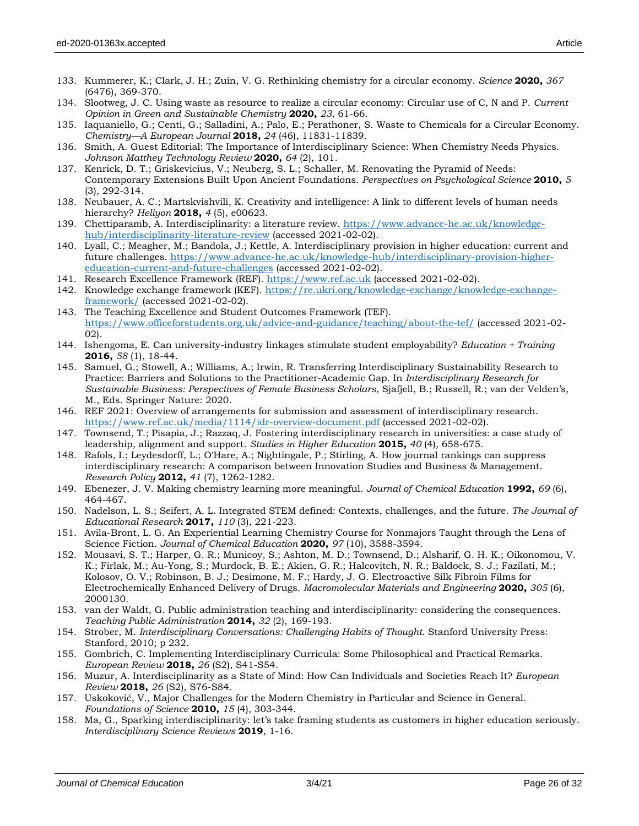- 133. Kummerer, K.; Clark, J. H.; Zuin, V. G. Rethinking chemistry for a circular economy. *Science* **2020,** *367* (6476), 369-370.
- 134. Slootweg, J. C. Using waste as resource to realize a circular economy: Circular use of C, N and P. *Current Opinion in Green and Sustainable Chemistry* **2020,** *23*, 61-66.
- 135. Iaquaniello, G.; Centi, G.; Salladini, A.; Palo, E.; Perathoner, S. Waste to Chemicals for a Circular Economy. *Chemistry—A European Journal* **2018,** *24* (46), 11831-11839.
- 136. Smith, A. Guest Editorial: The Importance of Interdisciplinary Science: When Chemistry Needs Physics. *Johnson Matthey Technology Review* **2020,** *64* (2), 101.
- 137. Kenrick, D. T.; Griskevicius, V.; Neuberg, S. L.; Schaller, M. Renovating the Pyramid of Needs: Contemporary Extensions Built Upon Ancient Foundations. *Perspectives on Psychological Science* **2010,** *5* (3), 292-314.
- 138. Neubauer, A. C.; Martskvishvili, K. Creativity and intelligence: A link to different levels of human needs hierarchy? *Heliyon* **2018,** *4* (5), e00623.
- 139. Chettiparamb, A. Interdisciplinarity: a literature review. [https://www.advance-he.ac.uk/knowledge](https://www.advance-he.ac.uk/knowledge-hub/interdisciplinarity-literature-review)[hub/interdisciplinarity-literature-review](https://www.advance-he.ac.uk/knowledge-hub/interdisciplinarity-literature-review) (accessed 2021-02-02).
- 140. Lyall, C.; Meagher, M.; Bandola, J.; Kettle, A. Interdisciplinary provision in higher education: current and future challenges. [https://www.advance-he.ac.uk/knowledge-hub/interdisciplinary-provision-higher](https://www.advance-he.ac.uk/knowledge-hub/interdisciplinary-provision-higher-education-current-and-future-challenges)[education-current-and-future-challenges](https://www.advance-he.ac.uk/knowledge-hub/interdisciplinary-provision-higher-education-current-and-future-challenges) (accessed 2021-02-02).
- 141. Research Excellence Framework (REF). [https://www.ref.ac.uk](https://www.ref.ac.uk/) (accessed 2021-02-02).
- 142. Knowledge exchange framework (KEF). [https://re.ukri.org/knowledge-exchange/knowledge-exchange](https://re.ukri.org/knowledge-exchange/knowledge-exchange-framework/)[framework/](https://re.ukri.org/knowledge-exchange/knowledge-exchange-framework/) (accessed 2021-02-02).
- 143. The Teaching Excellence and Student Outcomes Framework (TEF). <https://www.officeforstudents.org.uk/advice-and-guidance/teaching/about-the-tef/> (accessed 2021-02- 02).
- 144. Ishengoma, E. Can university-industry linkages stimulate student employability? *Education + Training*  **2016,** *58* (1), 18-44.
- 145. Samuel, G.; Stowell, A.; Williams, A.; Irwin, R. Transferring Interdisciplinary Sustainability Research to Practice: Barriers and Solutions to the Practitioner-Academic Gap. In *Interdisciplinary Research for Sustainable Business: Perspectives of Female Business Scholars*, Sjafjell, B.; Russell, R.; van der Velden's, M., Eds. Springer Nature: 2020.
- 146. REF 2021: Overview of arrangements for submission and assessment of interdisciplinary research. <https://www.ref.ac.uk/media/1114/idr-overview-document.pdf> (accessed 2021-02-02).
- 147. Townsend, T.; Pisapia, J.; Razzaq, J. Fostering interdisciplinary research in universities: a case study of leadership, alignment and support. *Studies in Higher Education* **2015,** *40* (4), 658-675.
- 148. Rafols, I.; Leydesdorff, L.; O'Hare, A.; Nightingale, P.; Stirling, A. How journal rankings can suppress interdisciplinary research: A comparison between Innovation Studies and Business & Management. *Research Policy* **2012,** *41* (7), 1262-1282.
- 149. Ebenezer, J. V. Making chemistry learning more meaningful. *Journal of Chemical Education* **1992,** *69* (6), 464-467.
- 150. Nadelson, L. S.; Seifert, A. L. Integrated STEM defined: Contexts, challenges, and the future. *The Journal of Educational Research* **2017,** *110* (3), 221-223.
- 151. Avila-Bront, L. G. An Experiential Learning Chemistry Course for Nonmajors Taught through the Lens of Science Fiction. *Journal of Chemical Education* **2020,** *97* (10), 3588-3594.
- 152. Mousavi, S. T.; Harper, G. R.; Municoy, S.; Ashton, M. D.; Townsend, D.; Alsharif, G. H. K.; Oikonomou, V. K.; Firlak, M.; Au-Yong, S.; Murdock, B. E.; Akien, G. R.; Halcovitch, N. R.; Baldock, S. J.; Fazilati, M.; Kolosov, O. V.; Robinson, B. J.; Desimone, M. F.; Hardy, J. G. Electroactive Silk Fibroin Films for Electrochemically Enhanced Delivery of Drugs. *Macromolecular Materials and Engineering* **2020,** *305* (6), 2000130.
- 153. van der Waldt, G. Public administration teaching and interdisciplinarity: considering the consequences. *Teaching Public Administration* **2014,** *32* (2), 169-193.
- 154. Strober, M. *Interdisciplinary Conversations: Challenging Habits of Thought*. Stanford University Press: Stanford, 2010; p 232.
- 155. Gombrich, C. Implementing Interdisciplinary Curricula: Some Philosophical and Practical Remarks. *European Review* **2018,** *26* (S2), S41-S54.
- 156. Muzur, A. Interdisciplinarity as a State of Mind: How Can Individuals and Societies Reach It? *European Review* **2018,** *26* (S2), S76-S84.
- 157. Uskoković, V., Major Challenges for the Modern Chemistry in Particular and Science in General. *Foundations of Science* **2010,** *15* (4), 303-344.
- 158. Ma, G., Sparking interdisciplinarity: let's take framing students as customers in higher education seriously. *Interdisciplinary Science Reviews* **2019**, 1-16.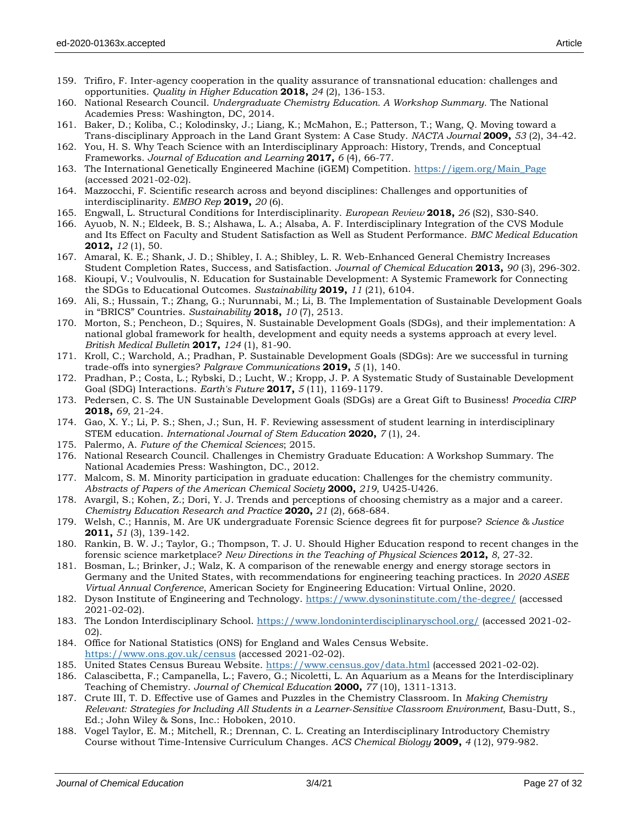- 159. Trifiro, F. Inter-agency cooperation in the quality assurance of transnational education: challenges and opportunities. *Quality in Higher Education* **2018,** *24* (2), 136-153.
- 160. National Research Council. *Undergraduate Chemistry Education. A Workshop Summary.* The National Academies Press: Washington, DC, 2014.
- 161. Baker, D.; Koliba, C.; Kolodinsky, J.; Liang, K.; McMahon, E.; Patterson, T.; Wang, Q. Moving toward a Trans-disciplinary Approach in the Land Grant System: A Case Study. *NACTA Journal* **2009,** *53* (2), 34-42.
- 162. You, H. S. Why Teach Science with an Interdisciplinary Approach: History, Trends, and Conceptual Frameworks. *Journal of Education and Learning* **2017,** *6* (4), 66-77.
- 163. The International Genetically Engineered Machine (iGEM) Competition. [https://igem.org/Main\\_Page](https://igem.org/Main_Page) (accessed 2021-02-02).
- 164. Mazzocchi, F. Scientific research across and beyond disciplines: Challenges and opportunities of interdisciplinarity. *EMBO Rep* **2019,** *20* (6).
- 165. Engwall, L. Structural Conditions for Interdisciplinarity. *European Review* **2018,** *26* (S2), S30-S40.
- 166. Ayuob, N. N.; Eldeek, B. S.; Alshawa, L. A.; Alsaba, A. F. Interdisciplinary Integration of the CVS Module and Its Effect on Faculty and Student Satisfaction as Well as Student Performance. *BMC Medical Education*  **2012,** *12* (1), 50.
- 167. Amaral, K. E.; Shank, J. D.; Shibley, I. A.; Shibley, L. R. Web-Enhanced General Chemistry Increases Student Completion Rates, Success, and Satisfaction. *Journal of Chemical Education* **2013,** *90* (3), 296-302.
- 168. Kioupi, V.; Voulvoulis, N. Education for Sustainable Development: A Systemic Framework for Connecting the SDGs to Educational Outcomes. *Sustainability* **2019,** *11* (21), 6104.
- 169. Ali, S.; Hussain, T.; Zhang, G.; Nurunnabi, M.; Li, B. The Implementation of Sustainable Development Goals in "BRICS" Countries. *Sustainability* **2018,** *10* (7), 2513.
- 170. Morton, S.; Pencheon, D.; Squires, N. Sustainable Development Goals (SDGs), and their implementation: A national global framework for health, development and equity needs a systems approach at every level. *British Medical Bulletin* **2017,** *124* (1), 81-90.
- 171. Kroll, C.; Warchold, A.; Pradhan, P. Sustainable Development Goals (SDGs): Are we successful in turning trade-offs into synergies? *Palgrave Communications* **2019,** *5* (1), 140.
- 172. Pradhan, P.; Costa, L.; Rybski, D.; Lucht, W.; Kropp, J. P. A Systematic Study of Sustainable Development Goal (SDG) Interactions. *Earth's Future* **2017,** *5* (11), 1169-1179.
- 173. Pedersen, C. S. The UN Sustainable Development Goals (SDGs) are a Great Gift to Business! *Procedia CIRP*  **2018,** *69*, 21-24.
- 174. Gao, X. Y.; Li, P. S.; Shen, J.; Sun, H. F. Reviewing assessment of student learning in interdisciplinary STEM education. *International Journal of Stem Education* **2020,** *7* (1), 24.
- 175. Palermo, A. *Future of the Chemical Sciences*; 2015.
- 176. National Research Council. Challenges in Chemistry Graduate Education: A Workshop Summary. The National Academies Press: Washington, DC., 2012.
- 177. Malcom, S. M. Minority participation in graduate education: Challenges for the chemistry community. *Abstracts of Papers of the American Chemical Society* **2000,** *219*, U425-U426.
- 178. Avargil, S.; Kohen, Z.; Dori, Y. J. Trends and perceptions of choosing chemistry as a major and a career. *Chemistry Education Research and Practice* **2020,** *21* (2), 668-684.
- 179. Welsh, C.; Hannis, M. Are UK undergraduate Forensic Science degrees fit for purpose? *Science & Justice*  **2011,** *51* (3), 139-142.
- 180. Rankin, B. W. J.; Taylor, G.; Thompson, T. J. U. Should Higher Education respond to recent changes in the forensic science marketplace? *New Directions in the Teaching of Physical Sciences* **2012,** *8*, 27-32.
- 181. Bosman, L.; Brinker, J.; Walz, K. A comparison of the renewable energy and energy storage sectors in Germany and the United States, with recommendations for engineering teaching practices. In *2020 ASEE Virtual Annual Conference*, American Society for Engineering Education: Virtual Online, 2020.
- 182. Dyson Institute of Engineering and Technology.<https://www.dysoninstitute.com/the-degree/> (accessed 2021-02-02).
- 183. The London Interdisciplinary School.<https://www.londoninterdisciplinaryschool.org/> (accessed 2021-02-02).
- 184. Office for National Statistics (ONS) for England and Wales Census Website. <https://www.ons.gov.uk/census> (accessed 2021-02-02).
- 185. United States Census Bureau Website.<https://www.census.gov/data.html> (accessed 2021-02-02).
- 186. Calascibetta, F.; Campanella, L.; Favero, G.; Nicoletti, L. An Aquarium as a Means for the Interdisciplinary Teaching of Chemistry. *Journal of Chemical Education* **2000,** *77* (10), 1311-1313.
- 187. Crute III, T. D. Effective use of Games and Puzzles in the Chemistry Classroom. In *Making Chemistry Relevant: Strategies for Including All Students in a Learner‐Sensitive Classroom Environment*, Basu-Dutt, S., Ed.; John Wiley & Sons, Inc.: Hoboken, 2010.
- 188. Vogel Taylor, E. M.; Mitchell, R.; Drennan, C. L. Creating an Interdisciplinary Introductory Chemistry Course without Time-Intensive Curriculum Changes. *ACS Chemical Biology* **2009,** *4* (12), 979-982.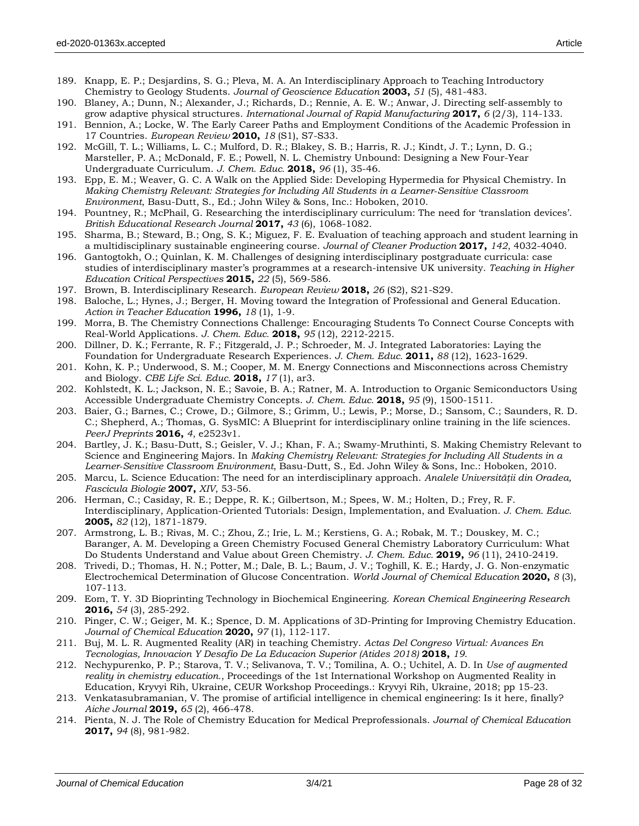- 189. Knapp, E. P.; Desjardins, S. G.; Pleva, M. A. An Interdisciplinary Approach to Teaching Introductory Chemistry to Geology Students. *Journal of Geoscience Education* **2003,** *51* (5), 481-483.
- 190. Blaney, A.; Dunn, N.; Alexander, J.; Richards, D.; Rennie, A. E. W.; Anwar, J. Directing self-assembly to grow adaptive physical structures. *International Journal of Rapid Manufacturing* **2017,** *6* (2/3), 114-133.
- 191. Bennion, A.; Locke, W. The Early Career Paths and Employment Conditions of the Academic Profession in 17 Countries. *European Review* **2010,** *18* (S1), S7-S33.
- 192. McGill, T. L.; Williams, L. C.; Mulford, D. R.; Blakey, S. B.; Harris, R. J.; Kindt, J. T.; Lynn, D. G.; Marsteller, P. A.; McDonald, F. E.; Powell, N. L. Chemistry Unbound: Designing a New Four-Year Undergraduate Curriculum. *J. Chem. Educ.* **2018,** *96* (1), 35-46.
- 193. Epp, E. M.; Weaver, G. C. A Walk on the Applied Side: Developing Hypermedia for Physical Chemistry. In *Making Chemistry Relevant: Strategies for Including All Students in a Learner‐Sensitive Classroom Environment*, Basu-Dutt, S., Ed.; John Wiley & Sons, Inc.: Hoboken, 2010.
- 194. Pountney, R.; McPhail, G. Researching the interdisciplinary curriculum: The need for 'translation devices'. *British Educational Research Journal* **2017,** *43* (6), 1068-1082.
- 195. Sharma, B.; Steward, B.; Ong, S. K.; Miguez, F. E. Evaluation of teaching approach and student learning in a multidisciplinary sustainable engineering course. *Journal of Cleaner Production* **2017,** *142*, 4032-4040.
- 196. Gantogtokh, O.; Quinlan, K. M. Challenges of designing interdisciplinary postgraduate curricula: case studies of interdisciplinary master's programmes at a research-intensive UK university. *Teaching in Higher Education Critical Perspectives* **2015,** *22* (5), 569-586.
- 197. Brown, B. Interdisciplinary Research. *European Review* **2018,** *26* (S2), S21-S29.
- 198. Baloche, L.; Hynes, J.; Berger, H. Moving toward the Integration of Professional and General Education. *Action in Teacher Education* **1996,** *18* (1), 1-9.
- 199. Morra, B. The Chemistry Connections Challenge: Encouraging Students To Connect Course Concepts with Real-World Applications. *J. Chem. Educ.* **2018,** *95* (12), 2212-2215.
- 200. Dillner, D. K.; Ferrante, R. F.; Fitzgerald, J. P.; Schroeder, M. J. Integrated Laboratories: Laying the Foundation for Undergraduate Research Experiences. *J. Chem. Educ.* **2011,** *88* (12), 1623-1629.
- 201. Kohn, K. P.; Underwood, S. M.; Cooper, M. M. Energy Connections and Misconnections across Chemistry and Biology. *CBE Life Sci. Educ.* **2018,** *17* (1), ar3.
- 202. Kohlstedt, K. L.; Jackson, N. E.; Savoie, B. A.; Ratner, M. A. Introduction to Organic Semiconductors Using Accessible Undergraduate Chemistry Concepts. *J. Chem. Educ.* **2018,** *95* (9), 1500-1511.
- 203. Baier, G.; Barnes, C.; Crowe, D.; Gilmore, S.; Grimm, U.; Lewis, P.; Morse, D.; Sansom, C.; Saunders, R. D. C.; Shepherd, A.; Thomas, G. SysMIC: A Blueprint for interdisciplinary online training in the life sciences. *PeerJ Preprints* **2016,** *4*, e2523v1.
- 204. Bartley, J. K.; Basu-Dutt, S.; Geisler, V. J.; Khan, F. A.; Swamy-Mruthinti, S. Making Chemistry Relevant to Science and Engineering Majors. In *Making Chemistry Relevant: Strategies for Including All Students in a Learner‐Sensitive Classroom Environment*, Basu-Dutt, S., Ed. John Wiley & Sons, Inc.: Hoboken, 2010.
- 205. Marcu, L. Science Education: The need for an interdisciplinary approach. *Analele Universităţii din Oradea, Fascicula Biologie* **2007,** *XIV*, 53-56.
- 206. Herman, C.; Casiday, R. E.; Deppe, R. K.; Gilbertson, M.; Spees, W. M.; Holten, D.; Frey, R. F. Interdisciplinary, Application-Oriented Tutorials: Design, Implementation, and Evaluation. *J. Chem. Educ.*  **2005,** *82* (12), 1871-1879.
- 207. Armstrong, L. B.; Rivas, M. C.; Zhou, Z.; Irie, L. M.; Kerstiens, G. A.; Robak, M. T.; Douskey, M. C.; Baranger, A. M. Developing a Green Chemistry Focused General Chemistry Laboratory Curriculum: What Do Students Understand and Value about Green Chemistry. *J. Chem. Educ.* **2019,** *96* (11), 2410-2419.
- 208. Trivedi, D.; Thomas, H. N.; Potter, M.; Dale, B. L.; Baum, J. V.; Toghill, K. E.; Hardy, J. G. Non-enzymatic Electrochemical Determination of Glucose Concentration. *World Journal of Chemical Education* **2020,** *8* (3), 107-113.
- 209. Eom, T. Y. 3D Bioprinting Technology in Biochemical Engineering. *Korean Chemical Engineering Research*  **2016,** *54* (3), 285-292.
- 210. Pinger, C. W.; Geiger, M. K.; Spence, D. M. Applications of 3D-Printing for Improving Chemistry Education. *Journal of Chemical Education* **2020,** *97* (1), 112-117.
- 211. Buj, M. L. R. Augmented Reality (AR) in teaching Chemistry. *Actas Del Congreso Virtual: Avances En Tecnologias, Innovacion Y Desafio De La Educacion Superior (Atides 2018)* **2018,** *19*.
- 212. Nechypurenko, P. P.; Starova, T. V.; Selivanova, T. V.; Tomilina, A. O.; Uchitel, A. D. In *Use of augmented reality in chemistry education.*, Proceedings of the 1st International Workshop on Augmented Reality in Education, Kryvyi Rih, Ukraine, CEUR Workshop Proceedings.: Kryvyi Rih, Ukraine, 2018; pp 15-23.
- 213. Venkatasubramanian, V. The promise of artificial intelligence in chemical engineering: Is it here, finally? *Aiche Journal* **2019,** *65* (2), 466-478.
- 214. Pienta, N. J. The Role of Chemistry Education for Medical Preprofessionals. *Journal of Chemical Education*  **2017,** *94* (8), 981-982.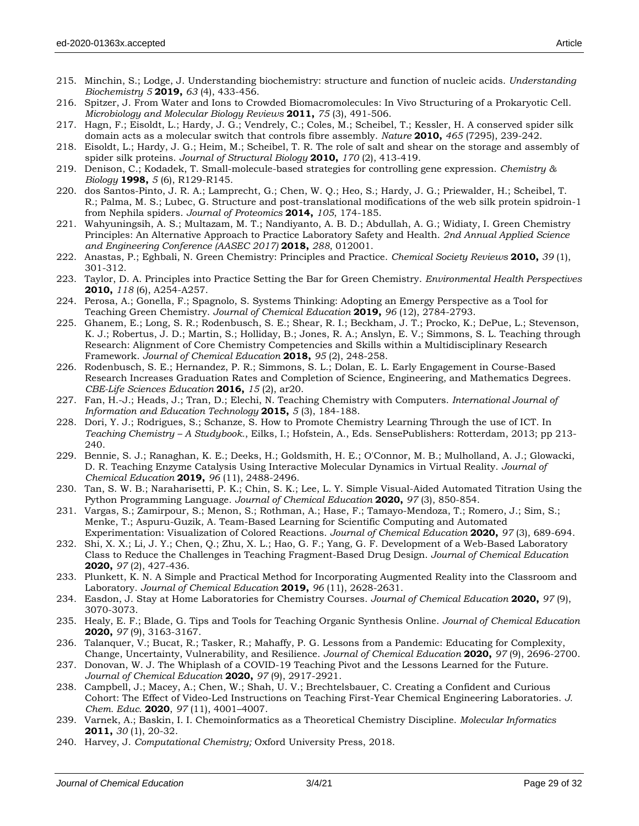- 216. Spitzer, J. From Water and Ions to Crowded Biomacromolecules: In Vivo Structuring of a Prokaryotic Cell. *Microbiology and Molecular Biology Reviews* **2011,** *75* (3), 491-506.
- 217. Hagn, F.; Eisoldt, L.; Hardy, J. G.; Vendrely, C.; Coles, M.; Scheibel, T.; Kessler, H. A conserved spider silk domain acts as a molecular switch that controls fibre assembly. *Nature* **2010,** *465* (7295), 239-242.
- 218. Eisoldt, L.; Hardy, J. G.; Heim, M.; Scheibel, T. R. The role of salt and shear on the storage and assembly of spider silk proteins. *Journal of Structural Biology* **2010,** *170* (2), 413-419.
- 219. Denison, C.; Kodadek, T. Small-molecule-based strategies for controlling gene expression. *Chemistry & Biology* **1998,** *5* (6), R129-R145.
- 220. dos Santos-Pinto, J. R. A.; Lamprecht, G.; Chen, W. Q.; Heo, S.; Hardy, J. G.; Priewalder, H.; Scheibel, T. R.; Palma, M. S.; Lubec, G. Structure and post-translational modifications of the web silk protein spidroin-1 from Nephila spiders. *Journal of Proteomics* **2014,** *105*, 174-185.
- 221. Wahyuningsih, A. S.; Multazam, M. T.; Nandiyanto, A. B. D.; Abdullah, A. G.; Widiaty, I. Green Chemistry Principles: An Alternative Approach to Practice Laboratory Safety and Health. *2nd Annual Applied Science and Engineering Conference (AASEC 2017)* **2018,** *288*, 012001.
- 222. Anastas, P.; Eghbali, N. Green Chemistry: Principles and Practice. *Chemical Society Reviews* **2010,** *39* (1), 301-312.
- 223. Taylor, D. A. Principles into Practice Setting the Bar for Green Chemistry. *Environmental Health Perspectives*  **2010,** *118* (6), A254-A257.
- 224. Perosa, A.; Gonella, F.; Spagnolo, S. Systems Thinking: Adopting an Emergy Perspective as a Tool for Teaching Green Chemistry. *Journal of Chemical Education* **2019,** *96* (12), 2784-2793.
- 225. Ghanem, E.; Long, S. R.; Rodenbusch, S. E.; Shear, R. I.; Beckham, J. T.; Procko, K.; DePue, L.; Stevenson, K. J.; Robertus, J. D.; Martin, S.; Holliday, B.; Jones, R. A.; Anslyn, E. V.; Simmons, S. L. Teaching through Research: Alignment of Core Chemistry Competencies and Skills within a Multidisciplinary Research Framework. *Journal of Chemical Education* **2018,** *95* (2), 248-258.
- 226. Rodenbusch, S. E.; Hernandez, P. R.; Simmons, S. L.; Dolan, E. L. Early Engagement in Course-Based Research Increases Graduation Rates and Completion of Science, Engineering, and Mathematics Degrees. *CBE-Life Sciences Education* **2016,** *15* (2), ar20.
- 227. Fan, H.-J.; Heads, J.; Tran, D.; Elechi, N. Teaching Chemistry with Computers. *International Journal of Information and Education Technology* **2015,** *5* (3), 184-188.
- 228. Dori, Y. J.; Rodrigues, S.; Schanze, S. How to Promote Chemistry Learning Through the use of ICT. In *Teaching Chemistry – A Studybook.*, Eilks, I.; Hofstein, A., Eds. SensePublishers: Rotterdam, 2013; pp 213- 240.
- 229. Bennie, S. J.; Ranaghan, K. E.; Deeks, H.; Goldsmith, H. E.; O'Connor, M. B.; Mulholland, A. J.; Glowacki, D. R. Teaching Enzyme Catalysis Using Interactive Molecular Dynamics in Virtual Reality. *Journal of Chemical Education* **2019,** *96* (11), 2488-2496.
- 230. Tan, S. W. B.; Naraharisetti, P. K.; Chin, S. K.; Lee, L. Y. Simple Visual-Aided Automated Titration Using the Python Programming Language. *Journal of Chemical Education* **2020,** *97* (3), 850-854.
- 231. Vargas, S.; Zamirpour, S.; Menon, S.; Rothman, A.; Hase, F.; Tamayo-Mendoza, T.; Romero, J.; Sim, S.; Menke, T.; Aspuru-Guzik, A. Team-Based Learning for Scientific Computing and Automated Experimentation: Visualization of Colored Reactions. *Journal of Chemical Education* **2020,** *97* (3), 689-694.
- 232. Shi, X. X.; Li, J. Y.; Chen, Q.; Zhu, X. L.; Hao, G. F.; Yang, G. F. Development of a Web-Based Laboratory Class to Reduce the Challenges in Teaching Fragment-Based Drug Design. *Journal of Chemical Education*  **2020,** *97* (2), 427-436.
- 233. Plunkett, K. N. A Simple and Practical Method for Incorporating Augmented Reality into the Classroom and Laboratory. *Journal of Chemical Education* **2019,** *96* (11), 2628-2631.
- 234. Easdon, J. Stay at Home Laboratories for Chemistry Courses. *Journal of Chemical Education* **2020,** *97* (9), 3070-3073.
- 235. Healy, E. F.; Blade, G. Tips and Tools for Teaching Organic Synthesis Online. *Journal of Chemical Education*  **2020,** *97* (9), 3163-3167.
- 236. Talanquer, V.; Bucat, R.; Tasker, R.; Mahaffy, P. G. Lessons from a Pandemic: Educating for Complexity, Change, Uncertainty, Vulnerability, and Resilience. *Journal of Chemical Education* **2020,** *97* (9), 2696-2700.
- 237. Donovan, W. J. The Whiplash of a COVID-19 Teaching Pivot and the Lessons Learned for the Future. *Journal of Chemical Education* **2020,** *97* (9), 2917-2921.
- 238. Campbell, J.; Macey, A.; Chen, W.; Shah, U. V.; Brechtelsbauer, C. Creating a Confident and Curious Cohort: The Effect of Video-Led Instructions on Teaching First-Year Chemical Engineering Laboratories. *J. Chem. Educ.* **2020**, *97* (11), 4001–4007.
- 239. Varnek, A.; Baskin, I. I. Chemoinformatics as a Theoretical Chemistry Discipline. *Molecular Informatics*  **2011,** *30* (1), 20-32.
- 240. Harvey, J. *Computational Chemistry;* Oxford University Press, 2018.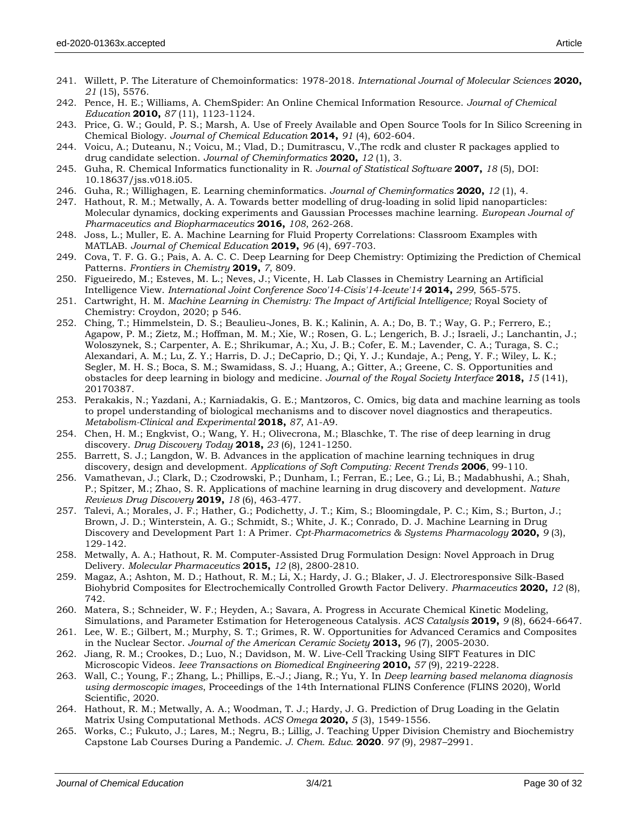- 241. Willett, P. The Literature of Chemoinformatics: 1978-2018. *International Journal of Molecular Sciences* **2020,** *21* (15), 5576.
- 242. Pence, H. E.; Williams, A. ChemSpider: An Online Chemical Information Resource. *Journal of Chemical Education* **2010,** *87* (11), 1123-1124.
- 243. Price, G. W.; Gould, P. S.; Marsh, A. Use of Freely Available and Open Source Tools for In Silico Screening in Chemical Biology. *Journal of Chemical Education* **2014,** *91* (4), 602-604.
- 244. Voicu, A.; Duteanu, N.; Voicu, M.; Vlad, D.; Dumitrascu, V.,The rcdk and cluster R packages applied to drug candidate selection. *Journal of Cheminformatics* **2020,** *12* (1), 3.
- 245. Guha, R. Chemical Informatics functionality in R. *Journal of Statistical Software* **2007,** *18* (5), DOI: 10.18637/jss.v018.i05.
- 246. Guha, R.; Willighagen, E. Learning cheminformatics. *Journal of Cheminformatics* **2020,** *12* (1), 4.
- 247. Hathout, R. M.; Metwally, A. A. Towards better modelling of drug-loading in solid lipid nanoparticles: Molecular dynamics, docking experiments and Gaussian Processes machine learning. *European Journal of Pharmaceutics and Biopharmaceutics* **2016,** *108*, 262-268.
- 248. Joss, L.; Muller, E. A. Machine Learning for Fluid Property Correlations: Classroom Examples with MATLAB. *Journal of Chemical Education* **2019,** *96* (4), 697-703.
- 249. Cova, T. F. G. G.; Pais, A. A. C. C. Deep Learning for Deep Chemistry: Optimizing the Prediction of Chemical Patterns. *Frontiers in Chemistry* **2019,** *7*, 809.
- 250. Figueiredo, M.; Esteves, M. L.; Neves, J.; Vicente, H. Lab Classes in Chemistry Learning an Artificial Intelligence View. *International Joint Conference Soco'14-Cisis'14-Iceute'14* **2014,** *299*, 565-575.
- 251. Cartwright, H. M. *Machine Learning in Chemistry: The Impact of Artificial Intelligence;* Royal Society of Chemistry: Croydon, 2020; p 546.
- 252. Ching, T.; Himmelstein, D. S.; Beaulieu-Jones, B. K.; Kalinin, A. A.; Do, B. T.; Way, G. P.; Ferrero, E.; Agapow, P. M.; Zietz, M.; Hoffman, M. M.; Xie, W.; Rosen, G. L.; Lengerich, B. J.; Israeli, J.; Lanchantin, J.; Woloszynek, S.; Carpenter, A. E.; Shrikumar, A.; Xu, J. B.; Cofer, E. M.; Lavender, C. A.; Turaga, S. C.; Alexandari, A. M.; Lu, Z. Y.; Harris, D. J.; DeCaprio, D.; Qi, Y. J.; Kundaje, A.; Peng, Y. F.; Wiley, L. K.; Segler, M. H. S.; Boca, S. M.; Swamidass, S. J.; Huang, A.; Gitter, A.; Greene, C. S. Opportunities and obstacles for deep learning in biology and medicine. *Journal of the Royal Society Interface* **2018,** *15* (141), 20170387.
- 253. Perakakis, N.; Yazdani, A.; Karniadakis, G. E.; Mantzoros, C. Omics, big data and machine learning as tools to propel understanding of biological mechanisms and to discover novel diagnostics and therapeutics. *Metabolism-Clinical and Experimental* **2018,** *87*, A1-A9.
- 254. Chen, H. M.; Engkvist, O.; Wang, Y. H.; Olivecrona, M.; Blaschke, T. The rise of deep learning in drug discovery. *Drug Discovery Today* **2018,** *23* (6), 1241-1250.
- 255. Barrett, S. J.; Langdon, W. B. Advances in the application of machine learning techniques in drug discovery, design and development. *Applications of Soft Computing: Recent Trends* **2006**, 99-110.
- 256. Vamathevan, J.; Clark, D.; Czodrowski, P.; Dunham, I.; Ferran, E.; Lee, G.; Li, B.; Madabhushi, A.; Shah, P.; Spitzer, M.; Zhao, S. R. Applications of machine learning in drug discovery and development. *Nature Reviews Drug Discovery* **2019,** *18* (6), 463-477.
- 257. Talevi, A.; Morales, J. F.; Hather, G.; Podichetty, J. T.; Kim, S.; Bloomingdale, P. C.; Kim, S.; Burton, J.; Brown, J. D.; Winterstein, A. G.; Schmidt, S.; White, J. K.; Conrado, D. J. Machine Learning in Drug Discovery and Development Part 1: A Primer. *Cpt-Pharmacometrics & Systems Pharmacology* **2020,** *9* (3), 129-142.
- 258. Metwally, A. A.; Hathout, R. M. Computer-Assisted Drug Formulation Design: Novel Approach in Drug Delivery. *Molecular Pharmaceutics* **2015,** *12* (8), 2800-2810.
- 259. Magaz, A.; Ashton, M. D.; Hathout, R. M.; Li, X.; Hardy, J. G.; Blaker, J. J. Electroresponsive Silk-Based Biohybrid Composites for Electrochemically Controlled Growth Factor Delivery. *Pharmaceutics* **2020,** *12* (8), 742.
- 260. Matera, S.; Schneider, W. F.; Heyden, A.; Savara, A. Progress in Accurate Chemical Kinetic Modeling, Simulations, and Parameter Estimation for Heterogeneous Catalysis. *ACS Catalysis* **2019,** *9* (8), 6624-6647.
- 261. Lee, W. E.; Gilbert, M.; Murphy, S. T.; Grimes, R. W. Opportunities for Advanced Ceramics and Composites in the Nuclear Sector. *Journal of the American Ceramic Society* **2013,** *96* (7), 2005-2030.
- 262. Jiang, R. M.; Crookes, D.; Luo, N.; Davidson, M. W. Live-Cell Tracking Using SIFT Features in DIC Microscopic Videos. *Ieee Transactions on Biomedical Engineering* **2010,** *57* (9), 2219-2228.
- 263. Wall, C.; Young, F.; Zhang, L.; Phillips, E.-J.; Jiang, R.; Yu, Y. In *Deep learning based melanoma diagnosis using dermoscopic images*, Proceedings of the 14th International FLINS Conference (FLINS 2020), World Scientific, 2020.
- 264. Hathout, R. M.; Metwally, A. A.; Woodman, T. J.; Hardy, J. G. Prediction of Drug Loading in the Gelatin Matrix Using Computational Methods. *ACS Omega* **2020,** *5* (3), 1549-1556.
- 265. Works, C.; Fukuto, J.; Lares, M.; Negru, B.; Lillig, J. Teaching Upper Division Chemistry and Biochemistry Capstone Lab Courses During a Pandemic. *J. Chem. Educ.* **2020**. *97* (9), 2987–2991.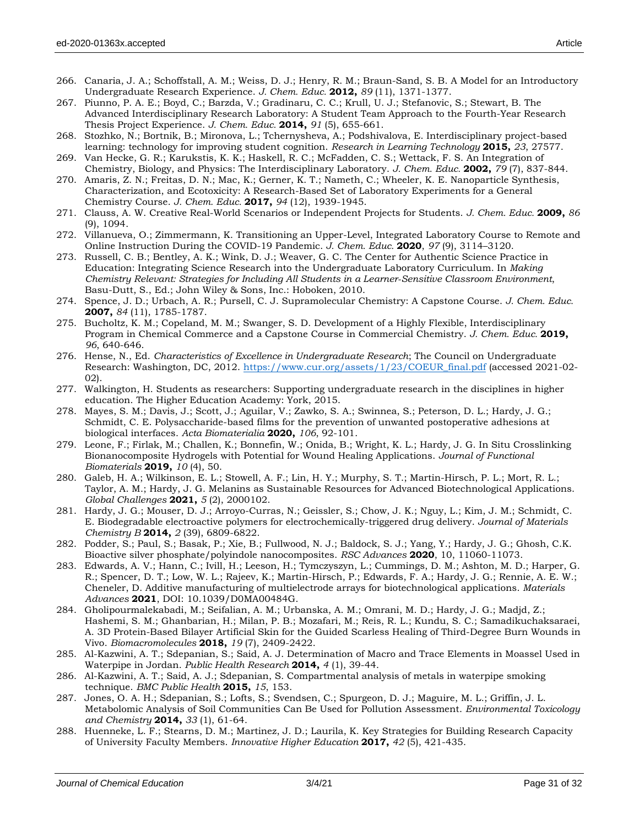- 266. Canaria, J. A.; Schoffstall, A. M.; Weiss, D. J.; Henry, R. M.; Braun-Sand, S. B. A Model for an Introductory Undergraduate Research Experience. *J. Chem. Educ.* **2012,** *89* (11), 1371-1377.
- 267. Piunno, P. A. E.; Boyd, C.; Barzda, V.; Gradinaru, C. C.; Krull, U. J.; Stefanovic, S.; Stewart, B. The Advanced Interdisciplinary Research Laboratory: A Student Team Approach to the Fourth-Year Research Thesis Project Experience. *J. Chem. Educ.* **2014,** *91* (5), 655-661.
- 268. Stozhko, N.; Bortnik, B.; Mironova, L.; Tchernysheva, A.; Podshivalova, E. Interdisciplinary project-based learning: technology for improving student cognition. *Research in Learning Technology* **2015,** *23*, 27577.
- 269. Van Hecke, G. R.; Karukstis, K. K.; Haskell, R. C.; McFadden, C. S.; Wettack, F. S. An Integration of Chemistry, Biology, and Physics: The Interdisciplinary Laboratory. *J. Chem. Educ.* **2002,** *79* (7), 837-844.
- 270. Amaris, Z. N.; Freitas, D. N.; Mac, K.; Gerner, K. T.; Nameth, C.; Wheeler, K. E. Nanoparticle Synthesis, Characterization, and Ecotoxicity: A Research-Based Set of Laboratory Experiments for a General Chemistry Course. *J. Chem. Educ.* **2017,** *94* (12), 1939-1945.
- 271. Clauss, A. W. Creative Real-World Scenarios or Independent Projects for Students. *J. Chem. Educ.* **2009,** *86* (9), 1094.
- 272. Villanueva, O.; Zimmermann, K. Transitioning an Upper-Level, Integrated Laboratory Course to Remote and Online Instruction During the COVID-19 Pandemic. *J. Chem. Educ.* **2020**, *97* (9), 3114–3120.
- 273. Russell, C. B.; Bentley, A. K.; Wink, D. J.; Weaver, G. C. The Center for Authentic Science Practice in Education: Integrating Science Research into the Undergraduate Laboratory Curriculum. In *Making Chemistry Relevant: Strategies for Including All Students in a Learner‐Sensitive Classroom Environment*, Basu-Dutt, S., Ed.; John Wiley & Sons, Inc.: Hoboken, 2010.
- 274. Spence, J. D.; Urbach, A. R.; Pursell, C. J. Supramolecular Chemistry: A Capstone Course. *J. Chem. Educ.*  **2007,** *84* (11), 1785-1787.
- 275. Bucholtz, K. M.; Copeland, M. M.; Swanger, S. D. Development of a Highly Flexible, Interdisciplinary Program in Chemical Commerce and a Capstone Course in Commercial Chemistry. *J. Chem. Educ.* **2019,** *96*, 640-646.
- 276. Hense, N., Ed. *Characteristics of Excellence in Undergraduate Research*; The Council on Undergraduate Research: Washington, DC, 2012. [https://www.cur.org/assets/1/23/COEUR\\_final.pdf](https://www.cur.org/assets/1/23/COEUR_final.pdf) (accessed 2021-02-02).
- 277. Walkington, H. Students as researchers: Supporting undergraduate research in the disciplines in higher education. The Higher Education Academy: York, 2015.
- 278. Mayes, S. M.; Davis, J.; Scott, J.; Aguilar, V.; Zawko, S. A.; Swinnea, S.; Peterson, D. L.; Hardy, J. G.; Schmidt, C. E. Polysaccharide-based films for the prevention of unwanted postoperative adhesions at biological interfaces. *Acta Biomaterialia* **2020,** *106*, 92-101.
- 279. Leone, F.; Firlak, M.; Challen, K.; Bonnefin, W.; Onida, B.; Wright, K. L.; Hardy, J. G. In Situ Crosslinking Bionanocomposite Hydrogels with Potential for Wound Healing Applications. *Journal of Functional Biomaterials* **2019,** *10* (4), 50.
- 280. Galeb, H. A.; Wilkinson, E. L.; Stowell, A. F.; Lin, H. Y.; Murphy, S. T.; Martin-Hirsch, P. L.; Mort, R. L.; Taylor, A. M.; Hardy, J. G. Melanins as Sustainable Resources for Advanced Biotechnological Applications. *Global Challenges* **2021,** *5* (2), 2000102.
- 281. Hardy, J. G.; Mouser, D. J.; Arroyo-Curras, N.; Geissler, S.; Chow, J. K.; Nguy, L.; Kim, J. M.; Schmidt, C. E. Biodegradable electroactive polymers for electrochemically-triggered drug delivery. *Journal of Materials Chemistry B* **2014,** *2* (39), 6809-6822.
- 282. Podder, S.; Paul, S.; Basak, P.; Xie, B.; Fullwood, N. J.; Baldock, S. J.; Yang, Y.; Hardy, J. G.; Ghosh, C.K. Bioactive silver phosphate/polyindole nanocomposites. *RSC Advances* **2020**, 10, 11060-11073.
- 283. Edwards, A. V.; Hann, C.; Ivill, H.; Leeson, H.; Tymczyszyn, L.; Cummings, D. M.; Ashton, M. D.; Harper, G. R.; Spencer, D. T.; Low, W. L.; Rajeev, K.; Martin-Hirsch, P.; Edwards, F. A.; Hardy, J. G.; Rennie, A. E. W.; Cheneler, D. Additive manufacturing of multielectrode arrays for biotechnological applications. *Materials Advances* **2021**, DOI: 10.1039/D0MA00484G.
- 284. Gholipourmalekabadi, M.; Seifalian, A. M.; Urbanska, A. M.; Omrani, M. D.; Hardy, J. G.; Madjd, Z.; Hashemi, S. M.; Ghanbarian, H.; Milan, P. B.; Mozafari, M.; Reis, R. L.; Kundu, S. C.; Samadikuchaksaraei, A. 3D Protein-Based Bilayer Artificial Skin for the Guided Scarless Healing of Third-Degree Burn Wounds in Vivo. *Biomacromolecules* **2018,** *19* (7), 2409-2422.
- 285. Al-Kazwini, A. T.; Sdepanian, S.; Said, A. J. Determination of Macro and Trace Elements in Moassel Used in Waterpipe in Jordan. *Public Health Research* **2014,** *4* (1), 39-44.
- 286. Al-Kazwini, A. T.; Said, A. J.; Sdepanian, S. Compartmental analysis of metals in waterpipe smoking technique. *BMC Public Health* **2015,** *15*, 153.
- 287. Jones, O. A. H.; Sdepanian, S.; Lofts, S.; Svendsen, C.; Spurgeon, D. J.; Maguire, M. L.; Griffin, J. L. Metabolomic Analysis of Soil Communities Can Be Used for Pollution Assessment. *Environmental Toxicology and Chemistry* **2014,** *33* (1), 61-64.
- 288. Huenneke, L. F.; Stearns, D. M.; Martinez, J. D.; Laurila, K. Key Strategies for Building Research Capacity of University Faculty Members. *Innovative Higher Education* **2017,** *42* (5), 421-435.